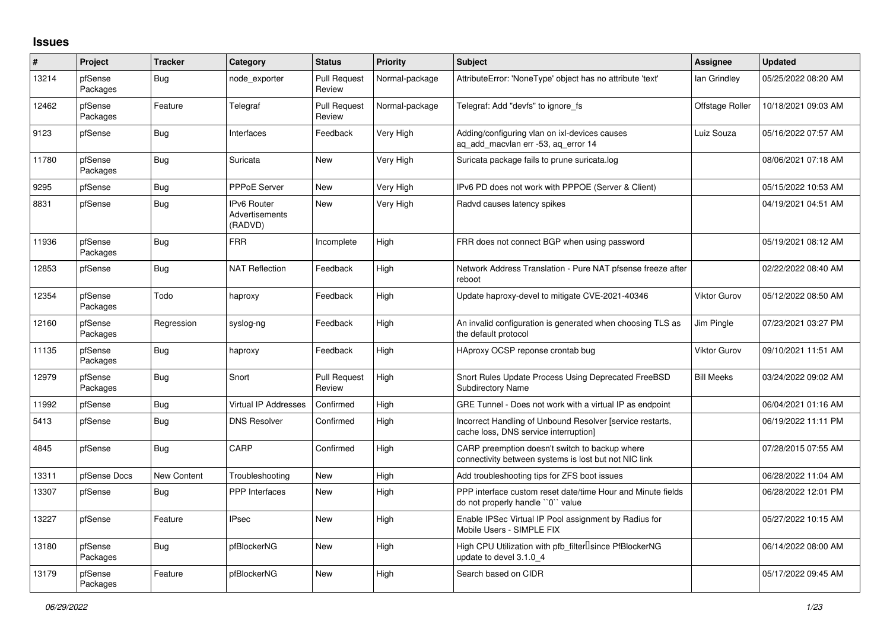## **Issues**

| $\#$  | Project             | <b>Tracker</b> | Category                                        | <b>Status</b>                 | Priority       | <b>Subject</b>                                                                                          | <b>Assignee</b>     | <b>Updated</b>      |
|-------|---------------------|----------------|-------------------------------------------------|-------------------------------|----------------|---------------------------------------------------------------------------------------------------------|---------------------|---------------------|
| 13214 | pfSense<br>Packages | <b>Bug</b>     | node exporter                                   | <b>Pull Request</b><br>Review | Normal-package | AttributeError: 'NoneType' object has no attribute 'text'                                               | lan Grindley        | 05/25/2022 08:20 AM |
| 12462 | pfSense<br>Packages | Feature        | Telegraf                                        | <b>Pull Request</b><br>Review | Normal-package | Telegraf: Add "devfs" to ignore fs                                                                      | Offstage Roller     | 10/18/2021 09:03 AM |
| 9123  | pfSense             | Bug            | Interfaces                                      | Feedback                      | Very High      | Adding/configuring vlan on ixl-devices causes<br>ag add macvlan err -53, ag error 14                    | Luiz Souza          | 05/16/2022 07:57 AM |
| 11780 | pfSense<br>Packages | Bug            | Suricata                                        | New                           | Very High      | Suricata package fails to prune suricata.log                                                            |                     | 08/06/2021 07:18 AM |
| 9295  | pfSense             | <b>Bug</b>     | <b>PPPoE Server</b>                             | <b>New</b>                    | Very High      | IPv6 PD does not work with PPPOE (Server & Client)                                                      |                     | 05/15/2022 10:53 AM |
| 8831  | pfSense             | Bug            | <b>IPv6 Router</b><br>Advertisements<br>(RADVD) | <b>New</b>                    | Very High      | Radvd causes latency spikes                                                                             |                     | 04/19/2021 04:51 AM |
| 11936 | pfSense<br>Packages | <b>Bug</b>     | <b>FRR</b>                                      | Incomplete                    | High           | FRR does not connect BGP when using password                                                            |                     | 05/19/2021 08:12 AM |
| 12853 | pfSense             | Bug            | <b>NAT Reflection</b>                           | Feedback                      | High           | Network Address Translation - Pure NAT pfsense freeze after<br>reboot                                   |                     | 02/22/2022 08:40 AM |
| 12354 | pfSense<br>Packages | Todo           | haproxy                                         | Feedback                      | High           | Update haproxy-devel to mitigate CVE-2021-40346                                                         | <b>Viktor Gurov</b> | 05/12/2022 08:50 AM |
| 12160 | pfSense<br>Packages | Regression     | syslog-ng                                       | Feedback                      | High           | An invalid configuration is generated when choosing TLS as<br>the default protocol                      | Jim Pingle          | 07/23/2021 03:27 PM |
| 11135 | pfSense<br>Packages | <b>Bug</b>     | haproxy                                         | Feedback                      | High           | HAproxy OCSP reponse crontab bug                                                                        | Viktor Gurov        | 09/10/2021 11:51 AM |
| 12979 | pfSense<br>Packages | <b>Bug</b>     | Snort                                           | <b>Pull Request</b><br>Review | High           | Snort Rules Update Process Using Deprecated FreeBSD<br><b>Subdirectory Name</b>                         | <b>Bill Meeks</b>   | 03/24/2022 09:02 AM |
| 11992 | pfSense             | Bug            | <b>Virtual IP Addresses</b>                     | Confirmed                     | High           | GRE Tunnel - Does not work with a virtual IP as endpoint                                                |                     | 06/04/2021 01:16 AM |
| 5413  | pfSense             | Bug            | <b>DNS Resolver</b>                             | Confirmed                     | High           | Incorrect Handling of Unbound Resolver [service restarts,<br>cache loss, DNS service interruption]      |                     | 06/19/2022 11:11 PM |
| 4845  | pfSense             | Bug            | CARP                                            | Confirmed                     | High           | CARP preemption doesn't switch to backup where<br>connectivity between systems is lost but not NIC link |                     | 07/28/2015 07:55 AM |
| 13311 | pfSense Docs        | New Content    | Troubleshooting                                 | New                           | High           | Add troubleshooting tips for ZFS boot issues                                                            |                     | 06/28/2022 11:04 AM |
| 13307 | pfSense             | <b>Bug</b>     | <b>PPP</b> Interfaces                           | New                           | High           | PPP interface custom reset date/time Hour and Minute fields<br>do not properly handle "0" value         |                     | 06/28/2022 12:01 PM |
| 13227 | pfSense             | Feature        | <b>IPsec</b>                                    | New                           | High           | Enable IPSec Virtual IP Pool assignment by Radius for<br>Mobile Users - SIMPLE FIX                      |                     | 05/27/2022 10:15 AM |
| 13180 | pfSense<br>Packages | Bug            | pfBlockerNG                                     | New                           | High           | High CPU Utilization with pfb_filter <sup>[]</sup> since PfBlockerNG<br>update to devel 3.1.0 4         |                     | 06/14/2022 08:00 AM |
| 13179 | pfSense<br>Packages | Feature        | pfBlockerNG                                     | <b>New</b>                    | High           | Search based on CIDR                                                                                    |                     | 05/17/2022 09:45 AM |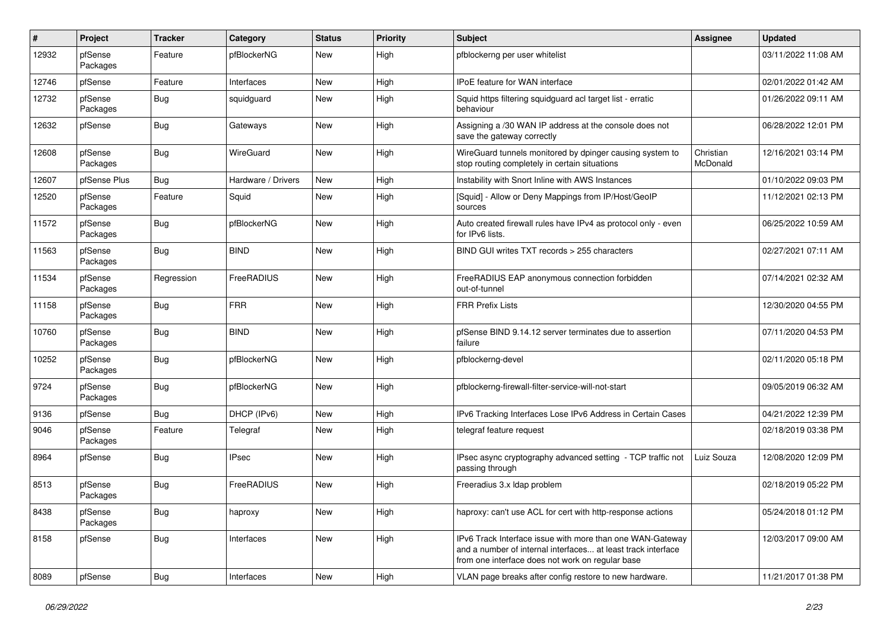| ∦     | Project             | <b>Tracker</b> | Category           | <b>Status</b> | <b>Priority</b> | <b>Subject</b>                                                                                                                                                                | <b>Assignee</b>       | <b>Updated</b>      |
|-------|---------------------|----------------|--------------------|---------------|-----------------|-------------------------------------------------------------------------------------------------------------------------------------------------------------------------------|-----------------------|---------------------|
| 12932 | pfSense<br>Packages | Feature        | pfBlockerNG        | New           | High            | pfblockerng per user whitelist                                                                                                                                                |                       | 03/11/2022 11:08 AM |
| 12746 | pfSense             | Feature        | Interfaces         | New           | High            | <b>IPoE</b> feature for WAN interface                                                                                                                                         |                       | 02/01/2022 01:42 AM |
| 12732 | pfSense<br>Packages | Bug            | squidguard         | New           | High            | Squid https filtering squidguard acl target list - erratic<br>behaviour                                                                                                       |                       | 01/26/2022 09:11 AM |
| 12632 | pfSense             | Bug            | Gateways           | New           | High            | Assigning a /30 WAN IP address at the console does not<br>save the gateway correctly                                                                                          |                       | 06/28/2022 12:01 PM |
| 12608 | pfSense<br>Packages | Bug            | WireGuard          | New           | High            | WireGuard tunnels monitored by dpinger causing system to<br>stop routing completely in certain situations                                                                     | Christian<br>McDonald | 12/16/2021 03:14 PM |
| 12607 | pfSense Plus        | Bug            | Hardware / Drivers | New           | High            | Instability with Snort Inline with AWS Instances                                                                                                                              |                       | 01/10/2022 09:03 PM |
| 12520 | pfSense<br>Packages | Feature        | Squid              | New           | High            | [Squid] - Allow or Deny Mappings from IP/Host/GeoIP<br>sources                                                                                                                |                       | 11/12/2021 02:13 PM |
| 11572 | pfSense<br>Packages | <b>Bug</b>     | pfBlockerNG        | New           | High            | Auto created firewall rules have IPv4 as protocol only - even<br>for IPv6 lists.                                                                                              |                       | 06/25/2022 10:59 AM |
| 11563 | pfSense<br>Packages | Bug            | <b>BIND</b>        | New           | High            | BIND GUI writes TXT records > 255 characters                                                                                                                                  |                       | 02/27/2021 07:11 AM |
| 11534 | pfSense<br>Packages | Regression     | FreeRADIUS         | New           | High            | FreeRADIUS EAP anonymous connection forbidden<br>out-of-tunnel                                                                                                                |                       | 07/14/2021 02:32 AM |
| 11158 | pfSense<br>Packages | Bug            | <b>FRR</b>         | New           | High            | <b>FRR Prefix Lists</b>                                                                                                                                                       |                       | 12/30/2020 04:55 PM |
| 10760 | pfSense<br>Packages | <b>Bug</b>     | <b>BIND</b>        | New           | High            | pfSense BIND 9.14.12 server terminates due to assertion<br>failure                                                                                                            |                       | 07/11/2020 04:53 PM |
| 10252 | pfSense<br>Packages | Bug            | pfBlockerNG        | New           | High            | pfblockerng-devel                                                                                                                                                             |                       | 02/11/2020 05:18 PM |
| 9724  | pfSense<br>Packages | Bug            | pfBlockerNG        | New           | High            | pfblockerng-firewall-filter-service-will-not-start                                                                                                                            |                       | 09/05/2019 06:32 AM |
| 9136  | pfSense             | Bug            | DHCP (IPv6)        | New           | High            | IPv6 Tracking Interfaces Lose IPv6 Address in Certain Cases                                                                                                                   |                       | 04/21/2022 12:39 PM |
| 9046  | pfSense<br>Packages | Feature        | Telegraf           | New           | High            | telegraf feature request                                                                                                                                                      |                       | 02/18/2019 03:38 PM |
| 8964  | pfSense             | <b>Bug</b>     | <b>IPsec</b>       | New           | High            | IPsec async cryptography advanced setting - TCP traffic not<br>passing through                                                                                                | Luiz Souza            | 12/08/2020 12:09 PM |
| 8513  | pfSense<br>Packages | Bug            | FreeRADIUS         | New           | High            | Freeradius 3.x Idap problem                                                                                                                                                   |                       | 02/18/2019 05:22 PM |
| 8438  | pfSense<br>Packages | Bug            | haproxy            | New           | High            | haproxy: can't use ACL for cert with http-response actions                                                                                                                    |                       | 05/24/2018 01:12 PM |
| 8158  | pfSense             | Bug            | Interfaces         | New           | High            | IPv6 Track Interface issue with more than one WAN-Gateway<br>and a number of internal interfaces at least track interface<br>from one interface does not work on regular base |                       | 12/03/2017 09:00 AM |
| 8089  | pfSense             | <b>Bug</b>     | Interfaces         | New           | High            | VLAN page breaks after config restore to new hardware.                                                                                                                        |                       | 11/21/2017 01:38 PM |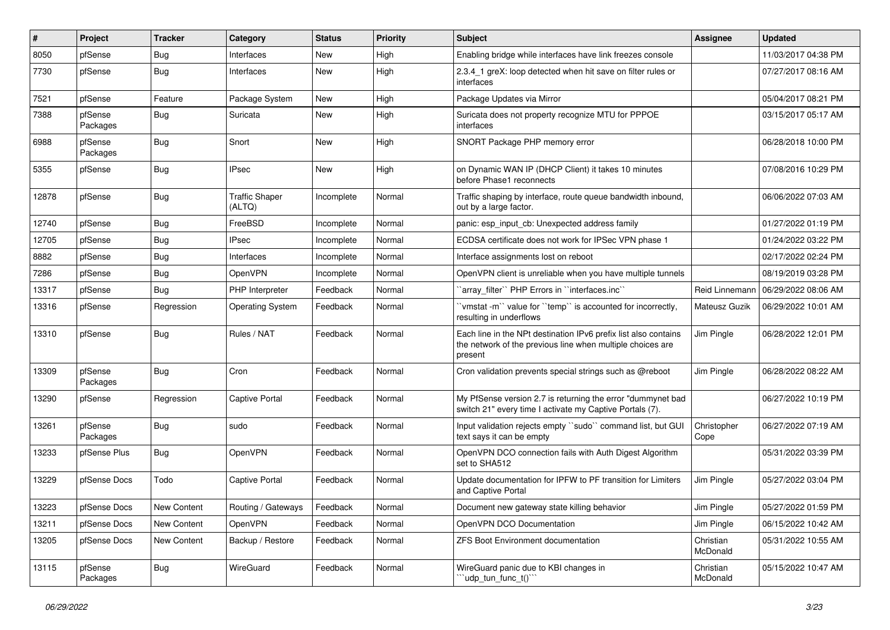| $\#$  | Project             | <b>Tracker</b>     | Category                        | <b>Status</b> | <b>Priority</b> | <b>Subject</b>                                                                                                                           | <b>Assignee</b>       | <b>Updated</b>      |
|-------|---------------------|--------------------|---------------------------------|---------------|-----------------|------------------------------------------------------------------------------------------------------------------------------------------|-----------------------|---------------------|
| 8050  | pfSense             | Bug                | Interfaces                      | New           | High            | Enabling bridge while interfaces have link freezes console                                                                               |                       | 11/03/2017 04:38 PM |
| 7730  | pfSense             | <b>Bug</b>         | Interfaces                      | New           | High            | 2.3.4_1 greX: loop detected when hit save on filter rules or<br>interfaces                                                               |                       | 07/27/2017 08:16 AM |
| 7521  | pfSense             | Feature            | Package System                  | New           | High            | Package Updates via Mirror                                                                                                               |                       | 05/04/2017 08:21 PM |
| 7388  | pfSense<br>Packages | Bug                | Suricata                        | New           | High            | Suricata does not property recognize MTU for PPPOE<br>interfaces                                                                         |                       | 03/15/2017 05:17 AM |
| 6988  | pfSense<br>Packages | <b>Bug</b>         | Snort                           | New           | High            | SNORT Package PHP memory error                                                                                                           |                       | 06/28/2018 10:00 PM |
| 5355  | pfSense             | <b>Bug</b>         | <b>IPsec</b>                    | New           | High            | on Dynamic WAN IP (DHCP Client) it takes 10 minutes<br>before Phase1 reconnects                                                          |                       | 07/08/2016 10:29 PM |
| 12878 | pfSense             | Bug                | <b>Traffic Shaper</b><br>(ALTQ) | Incomplete    | Normal          | Traffic shaping by interface, route queue bandwidth inbound,<br>out by a large factor.                                                   |                       | 06/06/2022 07:03 AM |
| 12740 | pfSense             | <b>Bug</b>         | FreeBSD                         | Incomplete    | Normal          | panic: esp_input_cb: Unexpected address family                                                                                           |                       | 01/27/2022 01:19 PM |
| 12705 | pfSense             | Bug                | <b>IPsec</b>                    | Incomplete    | Normal          | ECDSA certificate does not work for IPSec VPN phase 1                                                                                    |                       | 01/24/2022 03:22 PM |
| 8882  | pfSense             | Bug                | Interfaces                      | Incomplete    | Normal          | Interface assignments lost on reboot                                                                                                     |                       | 02/17/2022 02:24 PM |
| 7286  | pfSense             | <b>Bug</b>         | OpenVPN                         | Incomplete    | Normal          | OpenVPN client is unreliable when you have multiple tunnels                                                                              |                       | 08/19/2019 03:28 PM |
| 13317 | pfSense             | <b>Bug</b>         | PHP Interpreter                 | Feedback      | Normal          | `array_filter`` PHP Errors in ``interfaces.inc``                                                                                         | Reid Linnemann        | 06/29/2022 08:06 AM |
| 13316 | pfSense             | Regression         | <b>Operating System</b>         | Feedback      | Normal          | 'vmstat-m'' value for "temp" is accounted for incorrectly,<br>resulting in underflows                                                    | Mateusz Guzik         | 06/29/2022 10:01 AM |
| 13310 | pfSense             | Bug                | Rules / NAT                     | Feedback      | Normal          | Each line in the NPt destination IPv6 prefix list also contains<br>the network of the previous line when multiple choices are<br>present | Jim Pingle            | 06/28/2022 12:01 PM |
| 13309 | pfSense<br>Packages | Bug                | Cron                            | Feedback      | Normal          | Cron validation prevents special strings such as @reboot                                                                                 | Jim Pingle            | 06/28/2022 08:22 AM |
| 13290 | pfSense             | Regression         | <b>Captive Portal</b>           | Feedback      | Normal          | My PfSense version 2.7 is returning the error "dummynet bad<br>switch 21" every time I activate my Captive Portals (7).                  |                       | 06/27/2022 10:19 PM |
| 13261 | pfSense<br>Packages | <b>Bug</b>         | sudo                            | Feedback      | Normal          | Input validation rejects empty "sudo" command list, but GUI<br>text says it can be empty                                                 | Christopher<br>Cope   | 06/27/2022 07:19 AM |
| 13233 | pfSense Plus        | Bug                | OpenVPN                         | Feedback      | Normal          | OpenVPN DCO connection fails with Auth Digest Algorithm<br>set to SHA512                                                                 |                       | 05/31/2022 03:39 PM |
| 13229 | pfSense Docs        | Todo               | <b>Captive Portal</b>           | Feedback      | Normal          | Update documentation for IPFW to PF transition for Limiters<br>and Captive Portal                                                        | Jim Pingle            | 05/27/2022 03:04 PM |
| 13223 | pfSense Docs        | <b>New Content</b> | Routing / Gateways              | Feedback      | Normal          | Document new gateway state killing behavior                                                                                              | Jim Pingle            | 05/27/2022 01:59 PM |
| 13211 | pfSense Docs        | New Content        | OpenVPN                         | Feedback      | Normal          | OpenVPN DCO Documentation                                                                                                                | Jim Pingle            | 06/15/2022 10:42 AM |
| 13205 | pfSense Docs        | New Content        | Backup / Restore                | Feedback      | Normal          | ZFS Boot Environment documentation                                                                                                       | Christian<br>McDonald | 05/31/2022 10:55 AM |
| 13115 | pfSense<br>Packages | Bug                | WireGuard                       | Feedback      | Normal          | WireGuard panic due to KBI changes in<br>'udp_tun_func_t()'"                                                                             | Christian<br>McDonald | 05/15/2022 10:47 AM |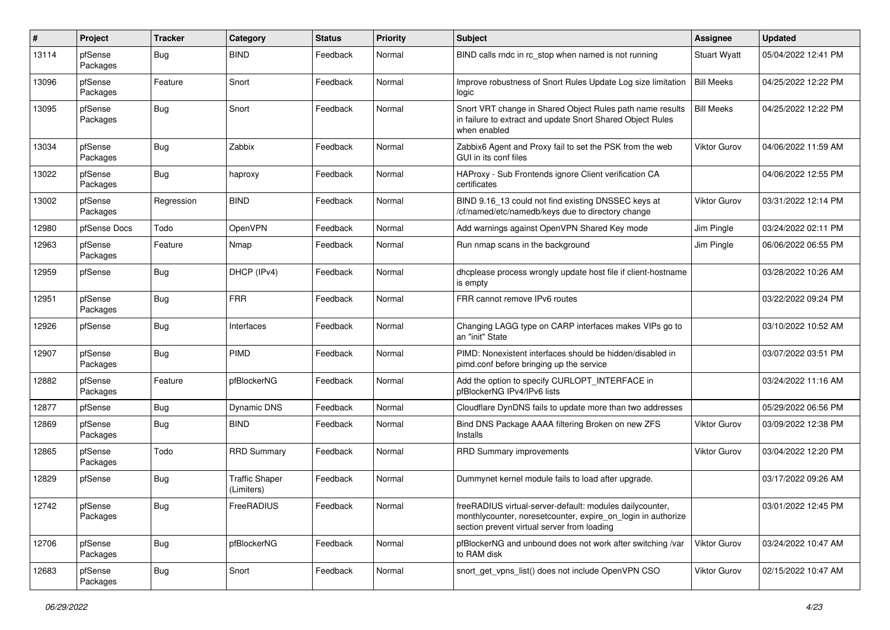| #     | Project             | <b>Tracker</b> | Category                            | <b>Status</b> | <b>Priority</b> | Subject                                                                                                                                                                  | Assignee            | <b>Updated</b>      |
|-------|---------------------|----------------|-------------------------------------|---------------|-----------------|--------------------------------------------------------------------------------------------------------------------------------------------------------------------------|---------------------|---------------------|
| 13114 | pfSense<br>Packages | <b>Bug</b>     | <b>BIND</b>                         | Feedback      | Normal          | BIND calls rndc in rc stop when named is not running                                                                                                                     | <b>Stuart Wyatt</b> | 05/04/2022 12:41 PM |
| 13096 | pfSense<br>Packages | Feature        | Snort                               | Feedback      | Normal          | Improve robustness of Snort Rules Update Log size limitation<br>logic                                                                                                    | <b>Bill Meeks</b>   | 04/25/2022 12:22 PM |
| 13095 | pfSense<br>Packages | <b>Bug</b>     | Snort                               | Feedback      | Normal          | Snort VRT change in Shared Object Rules path name results<br>in failure to extract and update Snort Shared Object Rules<br>when enabled                                  | <b>Bill Meeks</b>   | 04/25/2022 12:22 PM |
| 13034 | pfSense<br>Packages | Bug            | Zabbix                              | Feedback      | Normal          | Zabbix6 Agent and Proxy fail to set the PSK from the web<br>GUI in its conf files                                                                                        | Viktor Gurov        | 04/06/2022 11:59 AM |
| 13022 | pfSense<br>Packages | <b>Bug</b>     | haproxy                             | Feedback      | Normal          | HAProxy - Sub Frontends ignore Client verification CA<br>certificates                                                                                                    |                     | 04/06/2022 12:55 PM |
| 13002 | pfSense<br>Packages | Regression     | <b>BIND</b>                         | Feedback      | Normal          | BIND 9.16_13 could not find existing DNSSEC keys at<br>/cf/named/etc/namedb/keys due to directory change                                                                 | Viktor Gurov        | 03/31/2022 12:14 PM |
| 12980 | pfSense Docs        | Todo           | OpenVPN                             | Feedback      | Normal          | Add warnings against OpenVPN Shared Key mode                                                                                                                             | Jim Pingle          | 03/24/2022 02:11 PM |
| 12963 | pfSense<br>Packages | Feature        | Nmap                                | Feedback      | Normal          | Run nmap scans in the background                                                                                                                                         | Jim Pingle          | 06/06/2022 06:55 PM |
| 12959 | pfSense             | <b>Bug</b>     | DHCP (IPv4)                         | Feedback      | Normal          | dhcplease process wrongly update host file if client-hostname<br>is empty                                                                                                |                     | 03/28/2022 10:26 AM |
| 12951 | pfSense<br>Packages | <b>Bug</b>     | <b>FRR</b>                          | Feedback      | Normal          | FRR cannot remove IPv6 routes                                                                                                                                            |                     | 03/22/2022 09:24 PM |
| 12926 | pfSense             | <b>Bug</b>     | Interfaces                          | Feedback      | Normal          | Changing LAGG type on CARP interfaces makes VIPs go to<br>an "init" State                                                                                                |                     | 03/10/2022 10:52 AM |
| 12907 | pfSense<br>Packages | Bug            | <b>PIMD</b>                         | Feedback      | Normal          | PIMD: Nonexistent interfaces should be hidden/disabled in<br>pimd.conf before bringing up the service                                                                    |                     | 03/07/2022 03:51 PM |
| 12882 | pfSense<br>Packages | Feature        | pfBlockerNG                         | Feedback      | Normal          | Add the option to specify CURLOPT_INTERFACE in<br>pfBlockerNG IPv4/IPv6 lists                                                                                            |                     | 03/24/2022 11:16 AM |
| 12877 | pfSense             | <b>Bug</b>     | <b>Dynamic DNS</b>                  | Feedback      | Normal          | Cloudflare DynDNS fails to update more than two addresses                                                                                                                |                     | 05/29/2022 06:56 PM |
| 12869 | pfSense<br>Packages | Bug            | <b>BIND</b>                         | Feedback      | Normal          | Bind DNS Package AAAA filtering Broken on new ZFS<br>Installs                                                                                                            | Viktor Gurov        | 03/09/2022 12:38 PM |
| 12865 | pfSense<br>Packages | Todo           | <b>RRD Summary</b>                  | Feedback      | Normal          | <b>RRD Summary improvements</b>                                                                                                                                          | <b>Viktor Gurov</b> | 03/04/2022 12:20 PM |
| 12829 | pfSense             | <b>Bug</b>     | <b>Traffic Shaper</b><br>(Limiters) | Feedback      | Normal          | Dummynet kernel module fails to load after upgrade.                                                                                                                      |                     | 03/17/2022 09:26 AM |
| 12742 | pfSense<br>Packages | <b>Bug</b>     | FreeRADIUS                          | Feedback      | Normal          | freeRADIUS virtual-server-default: modules dailycounter,<br>monthlycounter, noreset counter, expire on login in authorize<br>section prevent virtual server from loading |                     | 03/01/2022 12:45 PM |
| 12706 | pfSense<br>Packages | <b>Bug</b>     | pfBlockerNG                         | Feedback      | Normal          | pfBlockerNG and unbound does not work after switching /var<br>to RAM disk                                                                                                | <b>Viktor Gurov</b> | 03/24/2022 10:47 AM |
| 12683 | pfSense<br>Packages | <b>Bug</b>     | Snort                               | Feedback      | Normal          | snort_get_vpns_list() does not include OpenVPN CSO                                                                                                                       | <b>Viktor Gurov</b> | 02/15/2022 10:47 AM |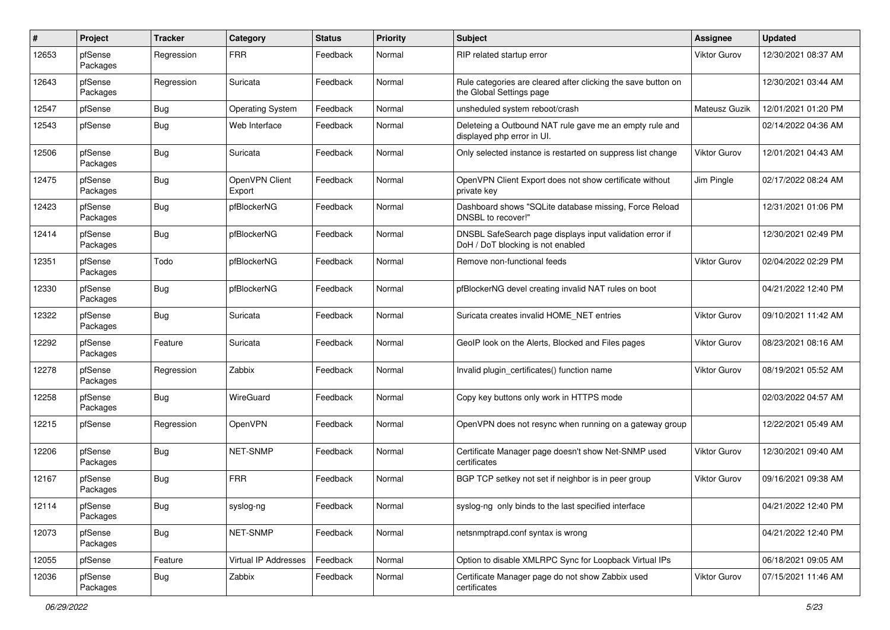| #     | Project             | <b>Tracker</b> | Category                    | <b>Status</b> | <b>Priority</b> | Subject                                                                                       | <b>Assignee</b>     | <b>Updated</b>      |
|-------|---------------------|----------------|-----------------------------|---------------|-----------------|-----------------------------------------------------------------------------------------------|---------------------|---------------------|
| 12653 | pfSense<br>Packages | Regression     | <b>FRR</b>                  | Feedback      | Normal          | RIP related startup error                                                                     | Viktor Gurov        | 12/30/2021 08:37 AM |
| 12643 | pfSense<br>Packages | Regression     | Suricata                    | Feedback      | Normal          | Rule categories are cleared after clicking the save button on<br>the Global Settings page     |                     | 12/30/2021 03:44 AM |
| 12547 | pfSense             | <b>Bug</b>     | <b>Operating System</b>     | Feedback      | Normal          | unsheduled system reboot/crash                                                                | Mateusz Guzik       | 12/01/2021 01:20 PM |
| 12543 | pfSense             | Bug            | Web Interface               | Feedback      | Normal          | Deleteing a Outbound NAT rule gave me an empty rule and<br>displayed php error in UI.         |                     | 02/14/2022 04:36 AM |
| 12506 | pfSense<br>Packages | <b>Bug</b>     | Suricata                    | Feedback      | Normal          | Only selected instance is restarted on suppress list change                                   | <b>Viktor Gurov</b> | 12/01/2021 04:43 AM |
| 12475 | pfSense<br>Packages | <b>Bug</b>     | OpenVPN Client<br>Export    | Feedback      | Normal          | OpenVPN Client Export does not show certificate without<br>private key                        | Jim Pingle          | 02/17/2022 08:24 AM |
| 12423 | pfSense<br>Packages | Bug            | pfBlockerNG                 | Feedback      | Normal          | Dashboard shows "SQLite database missing, Force Reload<br>DNSBL to recover!"                  |                     | 12/31/2021 01:06 PM |
| 12414 | pfSense<br>Packages | Bug            | pfBlockerNG                 | Feedback      | Normal          | DNSBL SafeSearch page displays input validation error if<br>DoH / DoT blocking is not enabled |                     | 12/30/2021 02:49 PM |
| 12351 | pfSense<br>Packages | Todo           | pfBlockerNG                 | Feedback      | Normal          | Remove non-functional feeds                                                                   | Viktor Gurov        | 02/04/2022 02:29 PM |
| 12330 | pfSense<br>Packages | Bug            | pfBlockerNG                 | Feedback      | Normal          | pfBlockerNG devel creating invalid NAT rules on boot                                          |                     | 04/21/2022 12:40 PM |
| 12322 | pfSense<br>Packages | <b>Bug</b>     | Suricata                    | Feedback      | Normal          | Suricata creates invalid HOME_NET entries                                                     | Viktor Gurov        | 09/10/2021 11:42 AM |
| 12292 | pfSense<br>Packages | Feature        | Suricata                    | Feedback      | Normal          | GeoIP look on the Alerts, Blocked and Files pages                                             | Viktor Gurov        | 08/23/2021 08:16 AM |
| 12278 | pfSense<br>Packages | Regression     | Zabbix                      | Feedback      | Normal          | Invalid plugin certificates() function name                                                   | Viktor Gurov        | 08/19/2021 05:52 AM |
| 12258 | pfSense<br>Packages | <b>Bug</b>     | WireGuard                   | Feedback      | Normal          | Copy key buttons only work in HTTPS mode                                                      |                     | 02/03/2022 04:57 AM |
| 12215 | pfSense             | Regression     | OpenVPN                     | Feedback      | Normal          | OpenVPN does not resync when running on a gateway group                                       |                     | 12/22/2021 05:49 AM |
| 12206 | pfSense<br>Packages | <b>Bug</b>     | <b>NET-SNMP</b>             | Feedback      | Normal          | Certificate Manager page doesn't show Net-SNMP used<br>certificates                           | Viktor Gurov        | 12/30/2021 09:40 AM |
| 12167 | pfSense<br>Packages | Bug            | <b>FRR</b>                  | Feedback      | Normal          | BGP TCP setkey not set if neighbor is in peer group                                           | Viktor Gurov        | 09/16/2021 09:38 AM |
| 12114 | pfSense<br>Packages | Bug            | syslog-ng                   | Feedback      | Normal          | syslog-ng only binds to the last specified interface                                          |                     | 04/21/2022 12:40 PM |
| 12073 | pfSense<br>Packages | <b>Bug</b>     | NET-SNMP                    | Feedback      | Normal          | netsnmptrapd.conf syntax is wrong                                                             |                     | 04/21/2022 12:40 PM |
| 12055 | pfSense             | Feature        | <b>Virtual IP Addresses</b> | Feedback      | Normal          | Option to disable XMLRPC Sync for Loopback Virtual IPs                                        |                     | 06/18/2021 09:05 AM |
| 12036 | pfSense<br>Packages | <b>Bug</b>     | Zabbix                      | Feedback      | Normal          | Certificate Manager page do not show Zabbix used<br>certificates                              | <b>Viktor Gurov</b> | 07/15/2021 11:46 AM |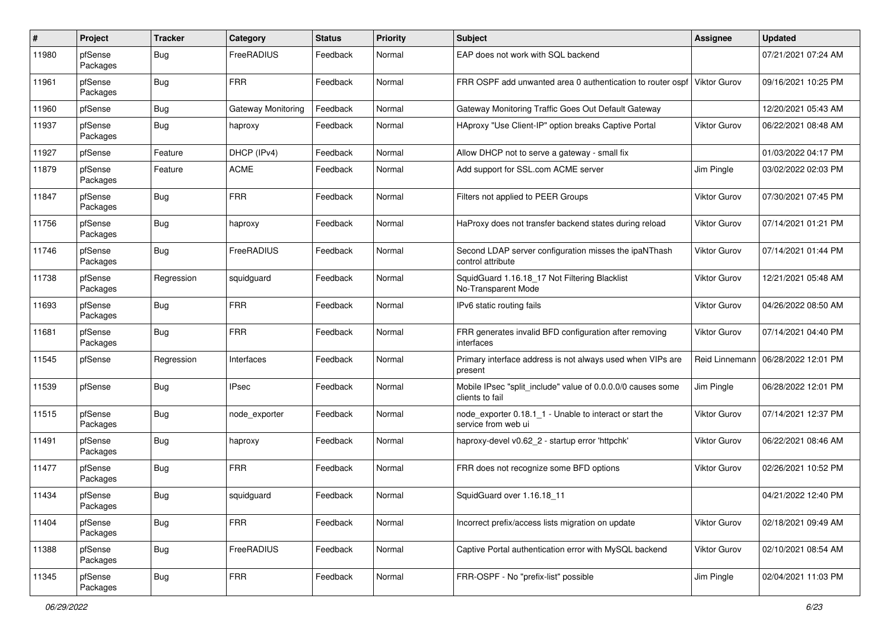| #     | Project             | <b>Tracker</b> | Category           | <b>Status</b> | <b>Priority</b> | Subject                                                                         | <b>Assignee</b>     | <b>Updated</b>      |
|-------|---------------------|----------------|--------------------|---------------|-----------------|---------------------------------------------------------------------------------|---------------------|---------------------|
| 11980 | pfSense<br>Packages | Bug            | FreeRADIUS         | Feedback      | Normal          | EAP does not work with SQL backend                                              |                     | 07/21/2021 07:24 AM |
| 11961 | pfSense<br>Packages | <b>Bug</b>     | <b>FRR</b>         | Feedback      | Normal          | FRR OSPF add unwanted area 0 authentication to router ospf                      | Viktor Gurov        | 09/16/2021 10:25 PM |
| 11960 | pfSense             | <b>Bug</b>     | Gateway Monitoring | Feedback      | Normal          | Gateway Monitoring Traffic Goes Out Default Gateway                             |                     | 12/20/2021 05:43 AM |
| 11937 | pfSense<br>Packages | Bug            | haproxy            | Feedback      | Normal          | HAproxy "Use Client-IP" option breaks Captive Portal                            | Viktor Gurov        | 06/22/2021 08:48 AM |
| 11927 | pfSense             | Feature        | DHCP (IPv4)        | Feedback      | Normal          | Allow DHCP not to serve a gateway - small fix                                   |                     | 01/03/2022 04:17 PM |
| 11879 | pfSense<br>Packages | Feature        | <b>ACME</b>        | Feedback      | Normal          | Add support for SSL.com ACME server                                             | Jim Pingle          | 03/02/2022 02:03 PM |
| 11847 | pfSense<br>Packages | Bug            | <b>FRR</b>         | Feedback      | Normal          | Filters not applied to PEER Groups                                              | Viktor Gurov        | 07/30/2021 07:45 PM |
| 11756 | pfSense<br>Packages | <b>Bug</b>     | haproxy            | Feedback      | Normal          | HaProxy does not transfer backend states during reload                          | Viktor Gurov        | 07/14/2021 01:21 PM |
| 11746 | pfSense<br>Packages | Bug            | FreeRADIUS         | Feedback      | Normal          | Second LDAP server configuration misses the ipaNThash<br>control attribute      | <b>Viktor Gurov</b> | 07/14/2021 01:44 PM |
| 11738 | pfSense<br>Packages | Regression     | squidguard         | Feedback      | Normal          | SquidGuard 1.16.18 17 Not Filtering Blacklist<br>No-Transparent Mode            | Viktor Gurov        | 12/21/2021 05:48 AM |
| 11693 | pfSense<br>Packages | <b>Bug</b>     | <b>FRR</b>         | Feedback      | Normal          | IPv6 static routing fails                                                       | <b>Viktor Gurov</b> | 04/26/2022 08:50 AM |
| 11681 | pfSense<br>Packages | Bug            | <b>FRR</b>         | Feedback      | Normal          | FRR generates invalid BFD configuration after removing<br>interfaces            | Viktor Gurov        | 07/14/2021 04:40 PM |
| 11545 | pfSense             | Regression     | Interfaces         | Feedback      | Normal          | Primary interface address is not always used when VIPs are<br>present           | Reid Linnemann      | 06/28/2022 12:01 PM |
| 11539 | pfSense             | Bug            | <b>IPsec</b>       | Feedback      | Normal          | Mobile IPsec "split include" value of 0.0.0.0/0 causes some<br>clients to fail  | Jim Pingle          | 06/28/2022 12:01 PM |
| 11515 | pfSense<br>Packages | <b>Bug</b>     | node exporter      | Feedback      | Normal          | node exporter 0.18.1 1 - Unable to interact or start the<br>service from web ui | Viktor Gurov        | 07/14/2021 12:37 PM |
| 11491 | pfSense<br>Packages | Bug            | haproxy            | Feedback      | Normal          | haproxy-devel v0.62 2 - startup error 'httpchk'                                 | Viktor Gurov        | 06/22/2021 08:46 AM |
| 11477 | pfSense<br>Packages | Bug            | <b>FRR</b>         | Feedback      | Normal          | FRR does not recognize some BFD options                                         | Viktor Gurov        | 02/26/2021 10:52 PM |
| 11434 | pfSense<br>Packages | Bug            | squidguard         | Feedback      | Normal          | SquidGuard over 1.16.18 11                                                      |                     | 04/21/2022 12:40 PM |
| 11404 | pfSense<br>Packages | <b>Bug</b>     | <b>FRR</b>         | Feedback      | Normal          | Incorrect prefix/access lists migration on update                               | <b>Viktor Gurov</b> | 02/18/2021 09:49 AM |
| 11388 | pfSense<br>Packages | <b>Bug</b>     | FreeRADIUS         | Feedback      | Normal          | Captive Portal authentication error with MySQL backend                          | Viktor Gurov        | 02/10/2021 08:54 AM |
| 11345 | pfSense<br>Packages | <b>Bug</b>     | <b>FRR</b>         | Feedback      | Normal          | FRR-OSPF - No "prefix-list" possible                                            | Jim Pingle          | 02/04/2021 11:03 PM |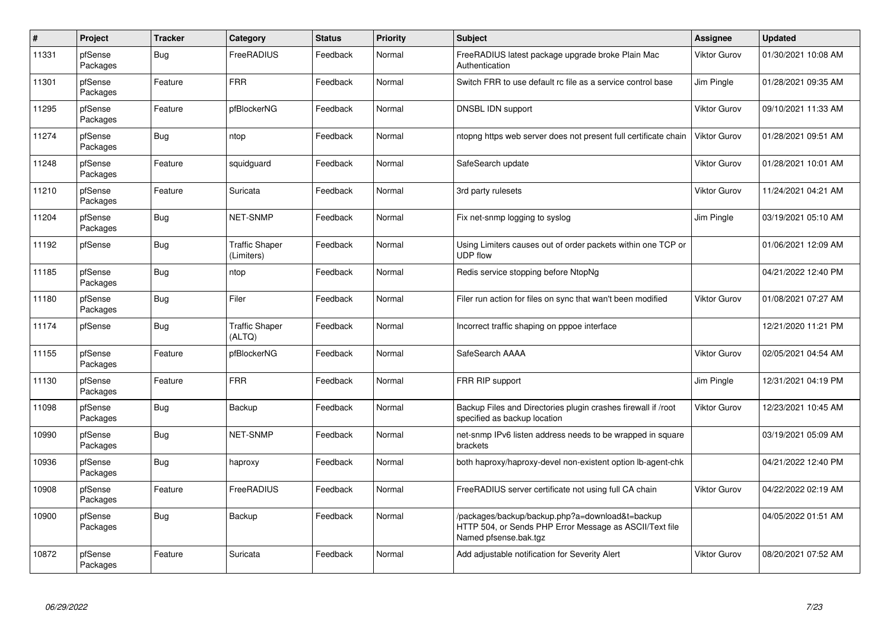| $\sharp$ | Project             | <b>Tracker</b> | Category                            | <b>Status</b> | <b>Priority</b> | <b>Subject</b>                                                                                                                      | <b>Assignee</b> | <b>Updated</b>      |
|----------|---------------------|----------------|-------------------------------------|---------------|-----------------|-------------------------------------------------------------------------------------------------------------------------------------|-----------------|---------------------|
| 11331    | pfSense<br>Packages | Bug            | FreeRADIUS                          | Feedback      | Normal          | FreeRADIUS latest package upgrade broke Plain Mac<br>Authentication                                                                 | Viktor Gurov    | 01/30/2021 10:08 AM |
| 11301    | pfSense<br>Packages | Feature        | <b>FRR</b>                          | Feedback      | Normal          | Switch FRR to use default rc file as a service control base                                                                         | Jim Pingle      | 01/28/2021 09:35 AM |
| 11295    | pfSense<br>Packages | Feature        | pfBlockerNG                         | Feedback      | Normal          | DNSBL IDN support                                                                                                                   | Viktor Gurov    | 09/10/2021 11:33 AM |
| 11274    | pfSense<br>Packages | <b>Bug</b>     | ntop                                | Feedback      | Normal          | ntopng https web server does not present full certificate chain                                                                     | Viktor Gurov    | 01/28/2021 09:51 AM |
| 11248    | pfSense<br>Packages | Feature        | squidguard                          | Feedback      | Normal          | SafeSearch update                                                                                                                   | Viktor Gurov    | 01/28/2021 10:01 AM |
| 11210    | pfSense<br>Packages | Feature        | Suricata                            | Feedback      | Normal          | 3rd party rulesets                                                                                                                  | Viktor Gurov    | 11/24/2021 04:21 AM |
| 11204    | pfSense<br>Packages | <b>Bug</b>     | <b>NET-SNMP</b>                     | Feedback      | Normal          | Fix net-snmp logging to syslog                                                                                                      | Jim Pingle      | 03/19/2021 05:10 AM |
| 11192    | pfSense             | Bug            | <b>Traffic Shaper</b><br>(Limiters) | Feedback      | Normal          | Using Limiters causes out of order packets within one TCP or<br><b>UDP flow</b>                                                     |                 | 01/06/2021 12:09 AM |
| 11185    | pfSense<br>Packages | <b>Bug</b>     | ntop                                | Feedback      | Normal          | Redis service stopping before NtopNg                                                                                                |                 | 04/21/2022 12:40 PM |
| 11180    | pfSense<br>Packages | Bug            | Filer                               | Feedback      | Normal          | Filer run action for files on sync that wan't been modified                                                                         | Viktor Gurov    | 01/08/2021 07:27 AM |
| 11174    | pfSense             | <b>Bug</b>     | <b>Traffic Shaper</b><br>(ALTQ)     | Feedback      | Normal          | Incorrect traffic shaping on pppoe interface                                                                                        |                 | 12/21/2020 11:21 PM |
| 11155    | pfSense<br>Packages | Feature        | pfBlockerNG                         | Feedback      | Normal          | SafeSearch AAAA                                                                                                                     | Viktor Gurov    | 02/05/2021 04:54 AM |
| 11130    | pfSense<br>Packages | Feature        | <b>FRR</b>                          | Feedback      | Normal          | FRR RIP support                                                                                                                     | Jim Pingle      | 12/31/2021 04:19 PM |
| 11098    | pfSense<br>Packages | <b>Bug</b>     | Backup                              | Feedback      | Normal          | Backup Files and Directories plugin crashes firewall if /root<br>specified as backup location                                       | Viktor Gurov    | 12/23/2021 10:45 AM |
| 10990    | pfSense<br>Packages | <b>Bug</b>     | <b>NET-SNMP</b>                     | Feedback      | Normal          | net-snmp IPv6 listen address needs to be wrapped in square<br>brackets                                                              |                 | 03/19/2021 05:09 AM |
| 10936    | pfSense<br>Packages | Bug            | haproxy                             | Feedback      | Normal          | both haproxy/haproxy-devel non-existent option lb-agent-chk                                                                         |                 | 04/21/2022 12:40 PM |
| 10908    | pfSense<br>Packages | Feature        | FreeRADIUS                          | Feedback      | Normal          | FreeRADIUS server certificate not using full CA chain                                                                               | Viktor Gurov    | 04/22/2022 02:19 AM |
| 10900    | pfSense<br>Packages | Bug            | Backup                              | Feedback      | Normal          | /packages/backup/backup.php?a=download&t=backup<br>HTTP 504, or Sends PHP Error Message as ASCII/Text file<br>Named pfsense.bak.tgz |                 | 04/05/2022 01:51 AM |
| 10872    | pfSense<br>Packages | Feature        | Suricata                            | Feedback      | Normal          | Add adjustable notification for Severity Alert                                                                                      | Viktor Gurov    | 08/20/2021 07:52 AM |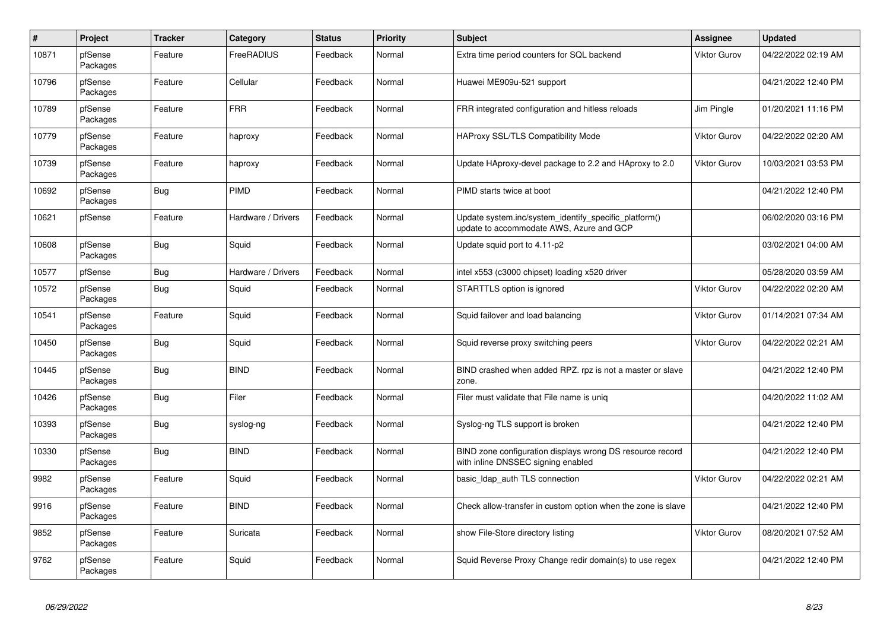| $\sharp$ | Project             | <b>Tracker</b> | Category           | <b>Status</b> | <b>Priority</b> | <b>Subject</b>                                                                                    | <b>Assignee</b>     | <b>Updated</b>      |
|----------|---------------------|----------------|--------------------|---------------|-----------------|---------------------------------------------------------------------------------------------------|---------------------|---------------------|
| 10871    | pfSense<br>Packages | Feature        | FreeRADIUS         | Feedback      | Normal          | Extra time period counters for SQL backend                                                        | <b>Viktor Gurov</b> | 04/22/2022 02:19 AM |
| 10796    | pfSense<br>Packages | Feature        | Cellular           | Feedback      | Normal          | Huawei ME909u-521 support                                                                         |                     | 04/21/2022 12:40 PM |
| 10789    | pfSense<br>Packages | Feature        | <b>FRR</b>         | Feedback      | Normal          | FRR integrated configuration and hitless reloads                                                  | Jim Pingle          | 01/20/2021 11:16 PM |
| 10779    | pfSense<br>Packages | Feature        | haproxy            | Feedback      | Normal          | HAProxy SSL/TLS Compatibility Mode                                                                | <b>Viktor Gurov</b> | 04/22/2022 02:20 AM |
| 10739    | pfSense<br>Packages | Feature        | haproxy            | Feedback      | Normal          | Update HAproxy-devel package to 2.2 and HAproxy to 2.0                                            | Viktor Gurov        | 10/03/2021 03:53 PM |
| 10692    | pfSense<br>Packages | Bug            | PIMD               | Feedback      | Normal          | PIMD starts twice at boot                                                                         |                     | 04/21/2022 12:40 PM |
| 10621    | pfSense             | Feature        | Hardware / Drivers | Feedback      | Normal          | Update system.inc/system identify specific platform()<br>update to accommodate AWS, Azure and GCP |                     | 06/02/2020 03:16 PM |
| 10608    | pfSense<br>Packages | <b>Bug</b>     | Squid              | Feedback      | Normal          | Update squid port to 4.11-p2                                                                      |                     | 03/02/2021 04:00 AM |
| 10577    | pfSense             | Bug            | Hardware / Drivers | Feedback      | Normal          | intel x553 (c3000 chipset) loading x520 driver                                                    |                     | 05/28/2020 03:59 AM |
| 10572    | pfSense<br>Packages | <b>Bug</b>     | Squid              | Feedback      | Normal          | STARTTLS option is ignored                                                                        | <b>Viktor Gurov</b> | 04/22/2022 02:20 AM |
| 10541    | pfSense<br>Packages | Feature        | Squid              | Feedback      | Normal          | Squid failover and load balancing                                                                 | <b>Viktor Gurov</b> | 01/14/2021 07:34 AM |
| 10450    | pfSense<br>Packages | <b>Bug</b>     | Squid              | Feedback      | Normal          | Squid reverse proxy switching peers                                                               | <b>Viktor Gurov</b> | 04/22/2022 02:21 AM |
| 10445    | pfSense<br>Packages | Bug            | <b>BIND</b>        | Feedback      | Normal          | BIND crashed when added RPZ. rpz is not a master or slave<br>zone.                                |                     | 04/21/2022 12:40 PM |
| 10426    | pfSense<br>Packages | Bug            | Filer              | Feedback      | Normal          | Filer must validate that File name is unig                                                        |                     | 04/20/2022 11:02 AM |
| 10393    | pfSense<br>Packages | <b>Bug</b>     | syslog-ng          | Feedback      | Normal          | Syslog-ng TLS support is broken                                                                   |                     | 04/21/2022 12:40 PM |
| 10330    | pfSense<br>Packages | <b>Bug</b>     | <b>BIND</b>        | Feedback      | Normal          | BIND zone configuration displays wrong DS resource record<br>with inline DNSSEC signing enabled   |                     | 04/21/2022 12:40 PM |
| 9982     | pfSense<br>Packages | Feature        | Squid              | Feedback      | Normal          | basic_Idap_auth TLS connection                                                                    | Viktor Gurov        | 04/22/2022 02:21 AM |
| 9916     | pfSense<br>Packages | Feature        | <b>BIND</b>        | Feedback      | Normal          | Check allow-transfer in custom option when the zone is slave                                      |                     | 04/21/2022 12:40 PM |
| 9852     | pfSense<br>Packages | Feature        | Suricata           | Feedback      | Normal          | show File-Store directory listing                                                                 | <b>Viktor Gurov</b> | 08/20/2021 07:52 AM |
| 9762     | pfSense<br>Packages | Feature        | Squid              | Feedback      | Normal          | Squid Reverse Proxy Change redir domain(s) to use regex                                           |                     | 04/21/2022 12:40 PM |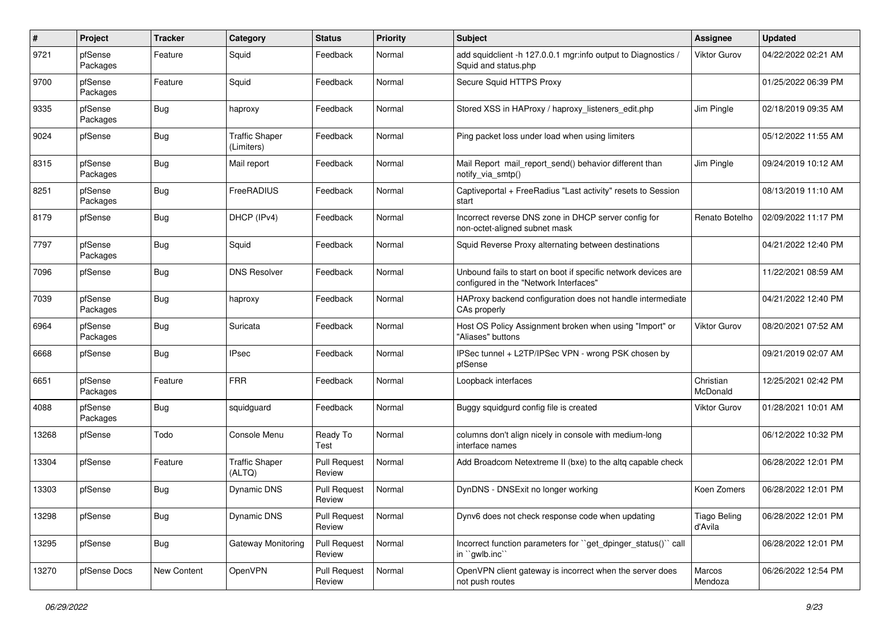| $\sharp$ | Project             | <b>Tracker</b> | Category                            | <b>Status</b>                 | <b>Priority</b> | Subject                                                                                                  | Assignee                       | <b>Updated</b>      |
|----------|---------------------|----------------|-------------------------------------|-------------------------------|-----------------|----------------------------------------------------------------------------------------------------------|--------------------------------|---------------------|
| 9721     | pfSense<br>Packages | Feature        | Squid                               | Feedback                      | Normal          | add squidclient -h 127.0.0.1 mgr:info output to Diagnostics /<br>Squid and status.php                    | Viktor Gurov                   | 04/22/2022 02:21 AM |
| 9700     | pfSense<br>Packages | Feature        | Squid                               | Feedback                      | Normal          | Secure Squid HTTPS Proxy                                                                                 |                                | 01/25/2022 06:39 PM |
| 9335     | pfSense<br>Packages | <b>Bug</b>     | haproxy                             | Feedback                      | Normal          | Stored XSS in HAProxy / haproxy listeners edit.php                                                       | Jim Pingle                     | 02/18/2019 09:35 AM |
| 9024     | pfSense             | Bug            | <b>Traffic Shaper</b><br>(Limiters) | Feedback                      | Normal          | Ping packet loss under load when using limiters                                                          |                                | 05/12/2022 11:55 AM |
| 8315     | pfSense<br>Packages | <b>Bug</b>     | Mail report                         | Feedback                      | Normal          | Mail Report mail report send() behavior different than<br>notify_via_smtp()                              | Jim Pingle                     | 09/24/2019 10:12 AM |
| 8251     | pfSense<br>Packages | <b>Bug</b>     | FreeRADIUS                          | Feedback                      | Normal          | Captiveportal + FreeRadius "Last activity" resets to Session<br>start                                    |                                | 08/13/2019 11:10 AM |
| 8179     | pfSense             | Bug            | DHCP (IPv4)                         | Feedback                      | Normal          | Incorrect reverse DNS zone in DHCP server config for<br>non-octet-aligned subnet mask                    | Renato Botelho                 | 02/09/2022 11:17 PM |
| 7797     | pfSense<br>Packages | Bug            | Squid                               | Feedback                      | Normal          | Squid Reverse Proxy alternating between destinations                                                     |                                | 04/21/2022 12:40 PM |
| 7096     | pfSense             | <b>Bug</b>     | <b>DNS Resolver</b>                 | Feedback                      | Normal          | Unbound fails to start on boot if specific network devices are<br>configured in the "Network Interfaces" |                                | 11/22/2021 08:59 AM |
| 7039     | pfSense<br>Packages | <b>Bug</b>     | haproxy                             | Feedback                      | Normal          | HAProxy backend configuration does not handle intermediate<br>CAs properly                               |                                | 04/21/2022 12:40 PM |
| 6964     | pfSense<br>Packages | Bug            | Suricata                            | Feedback                      | Normal          | Host OS Policy Assignment broken when using "Import" or<br>"Aliases" buttons                             | Viktor Gurov                   | 08/20/2021 07:52 AM |
| 6668     | pfSense             | Bug            | <b>IPsec</b>                        | Feedback                      | Normal          | IPSec tunnel + L2TP/IPSec VPN - wrong PSK chosen by<br>pfSense                                           |                                | 09/21/2019 02:07 AM |
| 6651     | pfSense<br>Packages | Feature        | <b>FRR</b>                          | Feedback                      | Normal          | Loopback interfaces                                                                                      | Christian<br>McDonald          | 12/25/2021 02:42 PM |
| 4088     | pfSense<br>Packages | <b>Bug</b>     | squidguard                          | Feedback                      | Normal          | Buggy squidgurd config file is created                                                                   | Viktor Gurov                   | 01/28/2021 10:01 AM |
| 13268    | pfSense             | Todo           | Console Menu                        | Ready To<br>Test              | Normal          | columns don't align nicely in console with medium-long<br>interface names                                |                                | 06/12/2022 10:32 PM |
| 13304    | pfSense             | Feature        | <b>Traffic Shaper</b><br>(ALTQ)     | <b>Pull Request</b><br>Review | Normal          | Add Broadcom Netextreme II (bxe) to the altg capable check                                               |                                | 06/28/2022 12:01 PM |
| 13303    | pfSense             | <b>Bug</b>     | Dynamic DNS                         | <b>Pull Request</b><br>Review | Normal          | DynDNS - DNSExit no longer working                                                                       | Koen Zomers                    | 06/28/2022 12:01 PM |
| 13298    | pfSense             | Bug            | Dynamic DNS                         | <b>Pull Request</b><br>Review | Normal          | Dynv6 does not check response code when updating                                                         | <b>Tiago Beling</b><br>d'Avila | 06/28/2022 12:01 PM |
| 13295    | pfSense             | Bug            | Gateway Monitoring                  | <b>Pull Request</b><br>Review | Normal          | Incorrect function parameters for "get_dpinger_status()" call<br>in "gwlb.inc"                           |                                | 06/28/2022 12:01 PM |
| 13270    | pfSense Docs        | New Content    | OpenVPN                             | <b>Pull Request</b><br>Review | Normal          | OpenVPN client gateway is incorrect when the server does<br>not push routes                              | Marcos<br>Mendoza              | 06/26/2022 12:54 PM |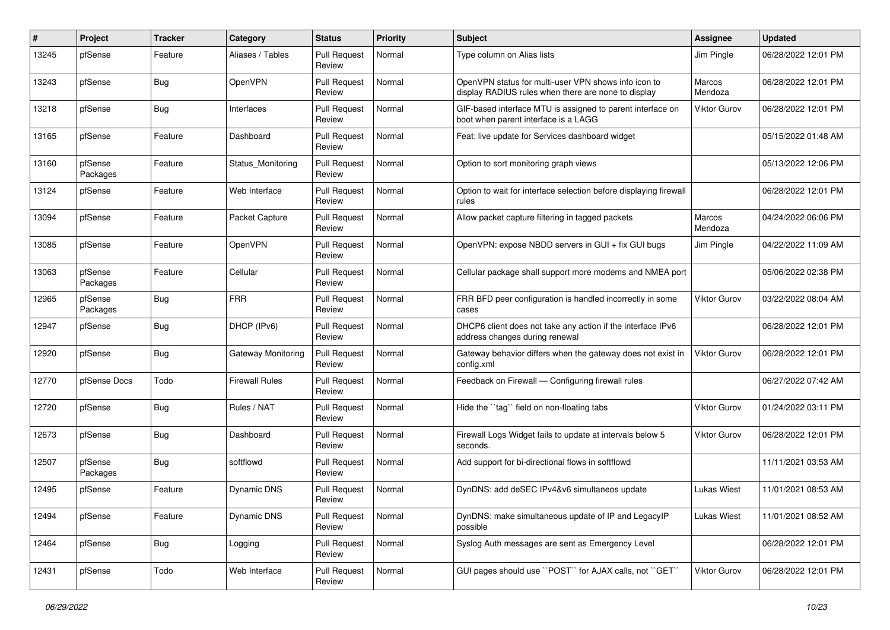| #     | Project             | <b>Tracker</b> | Category              | <b>Status</b>                 | <b>Priority</b> | Subject                                                                                                     | <b>Assignee</b>     | <b>Updated</b>      |
|-------|---------------------|----------------|-----------------------|-------------------------------|-----------------|-------------------------------------------------------------------------------------------------------------|---------------------|---------------------|
| 13245 | pfSense             | Feature        | Aliases / Tables      | <b>Pull Request</b><br>Review | Normal          | Type column on Alias lists                                                                                  | Jim Pingle          | 06/28/2022 12:01 PM |
| 13243 | pfSense             | Bug            | OpenVPN               | <b>Pull Request</b><br>Review | Normal          | OpenVPN status for multi-user VPN shows info icon to<br>display RADIUS rules when there are none to display | Marcos<br>Mendoza   | 06/28/2022 12:01 PM |
| 13218 | pfSense             | <b>Bug</b>     | Interfaces            | <b>Pull Request</b><br>Review | Normal          | GIF-based interface MTU is assigned to parent interface on<br>boot when parent interface is a LAGG          | Viktor Gurov        | 06/28/2022 12:01 PM |
| 13165 | pfSense             | Feature        | Dashboard             | <b>Pull Request</b><br>Review | Normal          | Feat: live update for Services dashboard widget                                                             |                     | 05/15/2022 01:48 AM |
| 13160 | pfSense<br>Packages | Feature        | Status Monitoring     | <b>Pull Request</b><br>Review | Normal          | Option to sort monitoring graph views                                                                       |                     | 05/13/2022 12:06 PM |
| 13124 | pfSense             | Feature        | Web Interface         | <b>Pull Request</b><br>Review | Normal          | Option to wait for interface selection before displaying firewall<br>rules                                  |                     | 06/28/2022 12:01 PM |
| 13094 | pfSense             | Feature        | Packet Capture        | <b>Pull Request</b><br>Review | Normal          | Allow packet capture filtering in tagged packets                                                            | Marcos<br>Mendoza   | 04/24/2022 06:06 PM |
| 13085 | pfSense             | Feature        | OpenVPN               | <b>Pull Request</b><br>Review | Normal          | OpenVPN: expose NBDD servers in GUI + fix GUI bugs                                                          | Jim Pingle          | 04/22/2022 11:09 AM |
| 13063 | pfSense<br>Packages | Feature        | Cellular              | <b>Pull Request</b><br>Review | Normal          | Cellular package shall support more modems and NMEA port                                                    |                     | 05/06/2022 02:38 PM |
| 12965 | pfSense<br>Packages | <b>Bug</b>     | <b>FRR</b>            | <b>Pull Request</b><br>Review | Normal          | FRR BFD peer configuration is handled incorrectly in some<br>cases                                          | Viktor Gurov        | 03/22/2022 08:04 AM |
| 12947 | pfSense             | Bug            | DHCP (IPv6)           | <b>Pull Request</b><br>Review | Normal          | DHCP6 client does not take any action if the interface IPv6<br>address changes during renewal               |                     | 06/28/2022 12:01 PM |
| 12920 | pfSense             | Bug            | Gateway Monitoring    | <b>Pull Request</b><br>Review | Normal          | Gateway behavior differs when the gateway does not exist in<br>config.xml                                   | <b>Viktor Gurov</b> | 06/28/2022 12:01 PM |
| 12770 | pfSense Docs        | Todo           | <b>Firewall Rules</b> | <b>Pull Request</b><br>Review | Normal          | Feedback on Firewall - Configuring firewall rules                                                           |                     | 06/27/2022 07:42 AM |
| 12720 | pfSense             | <b>Bug</b>     | Rules / NAT           | <b>Pull Request</b><br>Review | Normal          | Hide the "tag" field on non-floating tabs                                                                   | <b>Viktor Gurov</b> | 01/24/2022 03:11 PM |
| 12673 | pfSense             | Bug            | Dashboard             | <b>Pull Request</b><br>Review | Normal          | Firewall Logs Widget fails to update at intervals below 5<br>seconds.                                       | <b>Viktor Gurov</b> | 06/28/2022 12:01 PM |
| 12507 | pfSense<br>Packages | Bug            | softflowd             | <b>Pull Request</b><br>Review | Normal          | Add support for bi-directional flows in softflowd                                                           |                     | 11/11/2021 03:53 AM |
| 12495 | pfSense             | Feature        | Dynamic DNS           | <b>Pull Request</b><br>Review | Normal          | DynDNS: add deSEC IPv4&v6 simultaneos update                                                                | Lukas Wiest         | 11/01/2021 08:53 AM |
| 12494 | pfSense             | Feature        | Dynamic DNS           | <b>Pull Request</b><br>Review | Normal          | DynDNS: make simultaneous update of IP and LegacyIP<br>possible                                             | Lukas Wiest         | 11/01/2021 08:52 AM |
| 12464 | pfSense             | Bug            | Logging               | <b>Pull Request</b><br>Review | Normal          | Syslog Auth messages are sent as Emergency Level                                                            |                     | 06/28/2022 12:01 PM |
| 12431 | pfSense             | Todo           | Web Interface         | <b>Pull Request</b><br>Review | Normal          | GUI pages should use "POST" for AJAX calls, not "GET"                                                       | Viktor Gurov        | 06/28/2022 12:01 PM |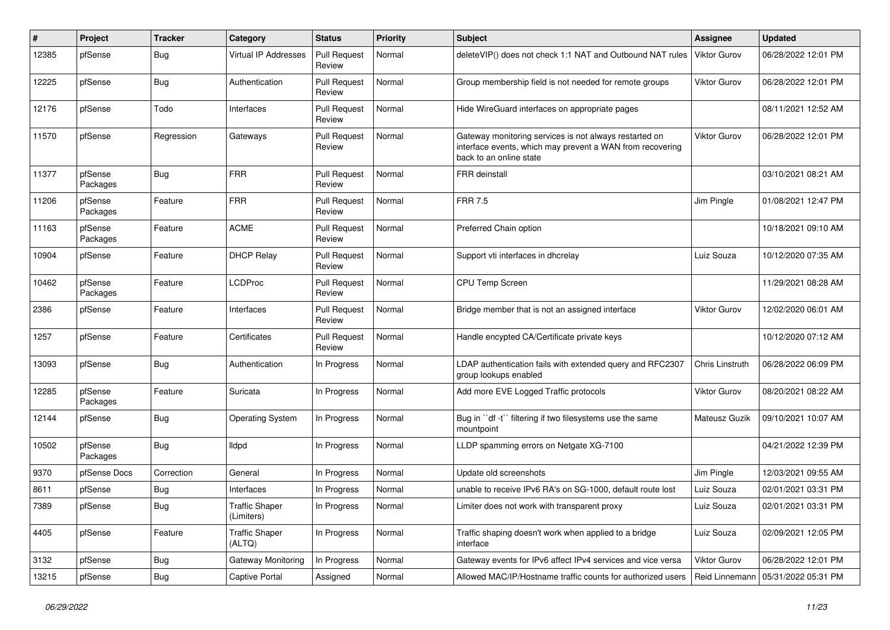| #     | Project             | <b>Tracker</b> | Category                            | <b>Status</b>                 | <b>Priority</b> | <b>Subject</b>                                                                                                                                 | Assignee            | <b>Updated</b>      |
|-------|---------------------|----------------|-------------------------------------|-------------------------------|-----------------|------------------------------------------------------------------------------------------------------------------------------------------------|---------------------|---------------------|
| 12385 | pfSense             | <b>Bug</b>     | Virtual IP Addresses                | <b>Pull Request</b><br>Review | Normal          | deleteVIP() does not check 1:1 NAT and Outbound NAT rules                                                                                      | <b>Viktor Gurov</b> | 06/28/2022 12:01 PM |
| 12225 | pfSense             | Bug            | Authentication                      | <b>Pull Request</b><br>Review | Normal          | Group membership field is not needed for remote groups                                                                                         | Viktor Gurov        | 06/28/2022 12:01 PM |
| 12176 | pfSense             | Todo           | Interfaces                          | <b>Pull Request</b><br>Review | Normal          | Hide WireGuard interfaces on appropriate pages                                                                                                 |                     | 08/11/2021 12:52 AM |
| 11570 | pfSense             | Regression     | Gateways                            | <b>Pull Request</b><br>Review | Normal          | Gateway monitoring services is not always restarted on<br>interface events, which may prevent a WAN from recovering<br>back to an online state | <b>Viktor Gurov</b> | 06/28/2022 12:01 PM |
| 11377 | pfSense<br>Packages | Bug            | <b>FRR</b>                          | <b>Pull Request</b><br>Review | Normal          | <b>FRR</b> deinstall                                                                                                                           |                     | 03/10/2021 08:21 AM |
| 11206 | pfSense<br>Packages | Feature        | <b>FRR</b>                          | <b>Pull Request</b><br>Review | Normal          | <b>FRR 7.5</b>                                                                                                                                 | Jim Pingle          | 01/08/2021 12:47 PM |
| 11163 | pfSense<br>Packages | Feature        | <b>ACME</b>                         | <b>Pull Request</b><br>Review | Normal          | Preferred Chain option                                                                                                                         |                     | 10/18/2021 09:10 AM |
| 10904 | pfSense             | Feature        | <b>DHCP Relay</b>                   | <b>Pull Request</b><br>Review | Normal          | Support vti interfaces in dhcrelay                                                                                                             | Luiz Souza          | 10/12/2020 07:35 AM |
| 10462 | pfSense<br>Packages | Feature        | <b>LCDProc</b>                      | <b>Pull Request</b><br>Review | Normal          | CPU Temp Screen                                                                                                                                |                     | 11/29/2021 08:28 AM |
| 2386  | pfSense             | Feature        | Interfaces                          | <b>Pull Request</b><br>Review | Normal          | Bridge member that is not an assigned interface                                                                                                | Viktor Gurov        | 12/02/2020 06:01 AM |
| 1257  | pfSense             | Feature        | Certificates                        | <b>Pull Request</b><br>Review | Normal          | Handle encypted CA/Certificate private keys                                                                                                    |                     | 10/12/2020 07:12 AM |
| 13093 | pfSense             | Bug            | Authentication                      | In Progress                   | Normal          | LDAP authentication fails with extended query and RFC2307<br>group lookups enabled                                                             | Chris Linstruth     | 06/28/2022 06:09 PM |
| 12285 | pfSense<br>Packages | Feature        | Suricata                            | In Progress                   | Normal          | Add more EVE Logged Traffic protocols                                                                                                          | <b>Viktor Gurov</b> | 08/20/2021 08:22 AM |
| 12144 | pfSense             | Bug            | <b>Operating System</b>             | In Progress                   | Normal          | Bug in "df -t" filtering if two filesystems use the same<br>mountpoint                                                                         | Mateusz Guzik       | 09/10/2021 10:07 AM |
| 10502 | pfSense<br>Packages | Bug            | lldpd                               | In Progress                   | Normal          | LLDP spamming errors on Netgate XG-7100                                                                                                        |                     | 04/21/2022 12:39 PM |
| 9370  | pfSense Docs        | Correction     | General                             | In Progress                   | Normal          | Update old screenshots                                                                                                                         | Jim Pingle          | 12/03/2021 09:55 AM |
| 8611  | pfSense             | <b>Bug</b>     | Interfaces                          | In Progress                   | Normal          | unable to receive IPv6 RA's on SG-1000, default route lost                                                                                     | Luiz Souza          | 02/01/2021 03:31 PM |
| 7389  | pfSense             | <b>Bug</b>     | <b>Traffic Shaper</b><br>(Limiters) | In Progress                   | Normal          | Limiter does not work with transparent proxy                                                                                                   | Luiz Souza          | 02/01/2021 03:31 PM |
| 4405  | pfSense             | Feature        | <b>Traffic Shaper</b><br>(ALTQ)     | In Progress                   | Normal          | Traffic shaping doesn't work when applied to a bridge<br>interface                                                                             | Luiz Souza          | 02/09/2021 12:05 PM |
| 3132  | pfSense             | <b>Bug</b>     | <b>Gateway Monitoring</b>           | In Progress                   | Normal          | Gateway events for IPv6 affect IPv4 services and vice versa                                                                                    | Viktor Gurov        | 06/28/2022 12:01 PM |
| 13215 | pfSense             | Bug            | Captive Portal                      | Assigned                      | Normal          | Allowed MAC/IP/Hostname traffic counts for authorized users                                                                                    | Reid Linnemann      | 05/31/2022 05:31 PM |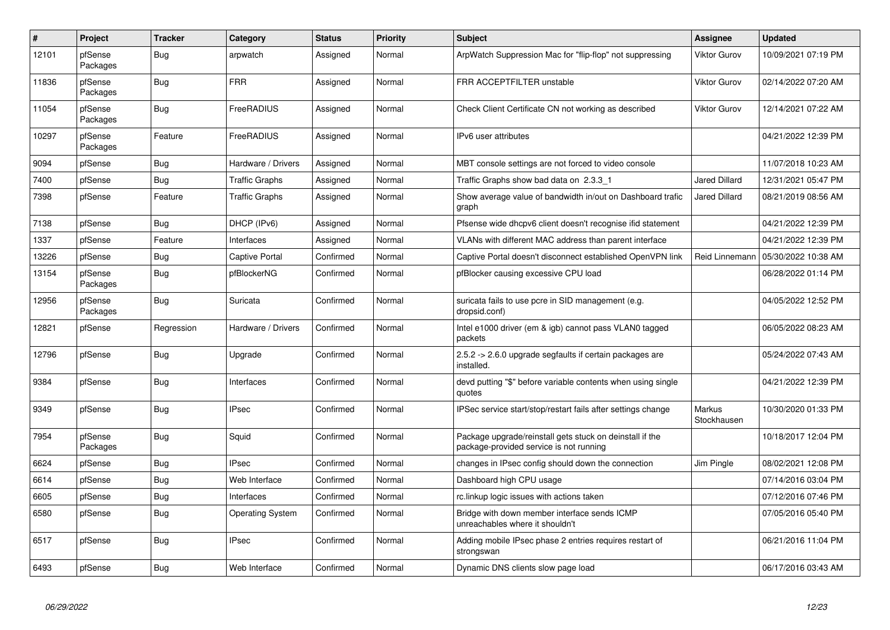| $\vert$ # | Project             | <b>Tracker</b> | Category                | <b>Status</b> | <b>Priority</b> | <b>Subject</b>                                                                                      | <b>Assignee</b>              | <b>Updated</b>      |
|-----------|---------------------|----------------|-------------------------|---------------|-----------------|-----------------------------------------------------------------------------------------------------|------------------------------|---------------------|
| 12101     | pfSense<br>Packages | Bug            | arpwatch                | Assigned      | Normal          | ArpWatch Suppression Mac for "flip-flop" not suppressing                                            | Viktor Gurov                 | 10/09/2021 07:19 PM |
| 11836     | pfSense<br>Packages | Bug            | <b>FRR</b>              | Assigned      | Normal          | FRR ACCEPTFILTER unstable                                                                           | Viktor Gurov                 | 02/14/2022 07:20 AM |
| 11054     | pfSense<br>Packages | <b>Bug</b>     | FreeRADIUS              | Assigned      | Normal          | Check Client Certificate CN not working as described                                                | Viktor Gurov                 | 12/14/2021 07:22 AM |
| 10297     | pfSense<br>Packages | Feature        | FreeRADIUS              | Assigned      | Normal          | IPv6 user attributes                                                                                |                              | 04/21/2022 12:39 PM |
| 9094      | pfSense             | <b>Bug</b>     | Hardware / Drivers      | Assigned      | Normal          | MBT console settings are not forced to video console                                                |                              | 11/07/2018 10:23 AM |
| 7400      | pfSense             | <b>Bug</b>     | <b>Traffic Graphs</b>   | Assigned      | Normal          | Traffic Graphs show bad data on 2.3.3 1                                                             | <b>Jared Dillard</b>         | 12/31/2021 05:47 PM |
| 7398      | pfSense             | Feature        | <b>Traffic Graphs</b>   | Assigned      | Normal          | Show average value of bandwidth in/out on Dashboard trafic<br>graph                                 | Jared Dillard                | 08/21/2019 08:56 AM |
| 7138      | pfSense             | Bug            | DHCP (IPv6)             | Assigned      | Normal          | Pfsense wide dhcpv6 client doesn't recognise ifid statement                                         |                              | 04/21/2022 12:39 PM |
| 1337      | pfSense             | Feature        | Interfaces              | Assigned      | Normal          | VLANs with different MAC address than parent interface                                              |                              | 04/21/2022 12:39 PM |
| 13226     | pfSense             | <b>Bug</b>     | <b>Captive Portal</b>   | Confirmed     | Normal          | Captive Portal doesn't disconnect established OpenVPN link                                          | Reid Linnemann               | 05/30/2022 10:38 AM |
| 13154     | pfSense<br>Packages | <b>Bug</b>     | pfBlockerNG             | Confirmed     | Normal          | pfBlocker causing excessive CPU load                                                                |                              | 06/28/2022 01:14 PM |
| 12956     | pfSense<br>Packages | Bug            | Suricata                | Confirmed     | Normal          | suricata fails to use pcre in SID management (e.g.<br>dropsid.conf)                                 |                              | 04/05/2022 12:52 PM |
| 12821     | pfSense             | Regression     | Hardware / Drivers      | Confirmed     | Normal          | Intel e1000 driver (em & igb) cannot pass VLAN0 tagged<br>packets                                   |                              | 06/05/2022 08:23 AM |
| 12796     | pfSense             | <b>Bug</b>     | Upgrade                 | Confirmed     | Normal          | 2.5.2 -> 2.6.0 upgrade segfaults if certain packages are<br>installed.                              |                              | 05/24/2022 07:43 AM |
| 9384      | pfSense             | <b>Bug</b>     | Interfaces              | Confirmed     | Normal          | devd putting "\$" before variable contents when using single<br>quotes                              |                              | 04/21/2022 12:39 PM |
| 9349      | pfSense             | <b>Bug</b>     | <b>IPsec</b>            | Confirmed     | Normal          | IPSec service start/stop/restart fails after settings change                                        | <b>Markus</b><br>Stockhausen | 10/30/2020 01:33 PM |
| 7954      | pfSense<br>Packages | Bug            | Squid                   | Confirmed     | Normal          | Package upgrade/reinstall gets stuck on deinstall if the<br>package-provided service is not running |                              | 10/18/2017 12:04 PM |
| 6624      | pfSense             | <b>Bug</b>     | <b>IPsec</b>            | Confirmed     | Normal          | changes in IPsec config should down the connection                                                  | Jim Pingle                   | 08/02/2021 12:08 PM |
| 6614      | pfSense             | <b>Bug</b>     | Web Interface           | Confirmed     | Normal          | Dashboard high CPU usage                                                                            |                              | 07/14/2016 03:04 PM |
| 6605      | pfSense             | <b>Bug</b>     | Interfaces              | Confirmed     | Normal          | rc.linkup logic issues with actions taken                                                           |                              | 07/12/2016 07:46 PM |
| 6580      | pfSense             | <b>Bug</b>     | <b>Operating System</b> | Confirmed     | Normal          | Bridge with down member interface sends ICMP<br>unreachables where it shouldn't                     |                              | 07/05/2016 05:40 PM |
| 6517      | pfSense             | Bug            | IPsec                   | Confirmed     | Normal          | Adding mobile IPsec phase 2 entries requires restart of<br>strongswan                               |                              | 06/21/2016 11:04 PM |
| 6493      | pfSense             | Bug            | Web Interface           | Confirmed     | Normal          | Dynamic DNS clients slow page load                                                                  |                              | 06/17/2016 03:43 AM |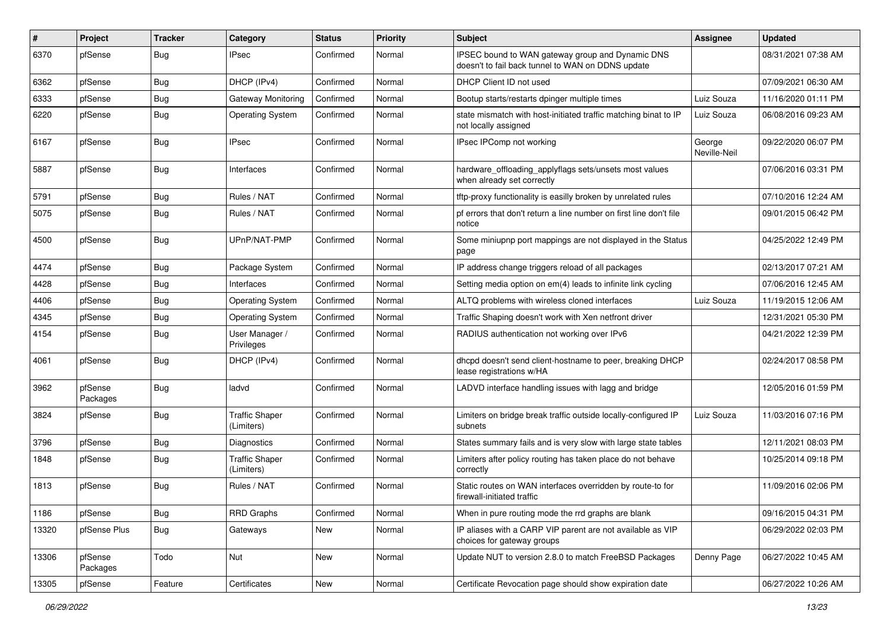| $\sharp$ | Project             | <b>Tracker</b> | Category                            | <b>Status</b> | <b>Priority</b> | Subject                                                                                               | Assignee               | <b>Updated</b>      |
|----------|---------------------|----------------|-------------------------------------|---------------|-----------------|-------------------------------------------------------------------------------------------------------|------------------------|---------------------|
| 6370     | pfSense             | Bug            | <b>IPsec</b>                        | Confirmed     | Normal          | IPSEC bound to WAN gateway group and Dynamic DNS<br>doesn't to fail back tunnel to WAN on DDNS update |                        | 08/31/2021 07:38 AM |
| 6362     | pfSense             | Bug            | DHCP (IPv4)                         | Confirmed     | Normal          | DHCP Client ID not used                                                                               |                        | 07/09/2021 06:30 AM |
| 6333     | pfSense             | <b>Bug</b>     | Gateway Monitoring                  | Confirmed     | Normal          | Bootup starts/restarts dpinger multiple times                                                         | Luiz Souza             | 11/16/2020 01:11 PM |
| 6220     | pfSense             | <b>Bug</b>     | <b>Operating System</b>             | Confirmed     | Normal          | state mismatch with host-initiated traffic matching binat to IP<br>not locally assigned               | Luiz Souza             | 06/08/2016 09:23 AM |
| 6167     | pfSense             | Bug            | IPsec                               | Confirmed     | Normal          | IPsec IPComp not working                                                                              | George<br>Neville-Neil | 09/22/2020 06:07 PM |
| 5887     | pfSense             | Bug            | Interfaces                          | Confirmed     | Normal          | hardware_offloading_applyflags sets/unsets most values<br>when already set correctly                  |                        | 07/06/2016 03:31 PM |
| 5791     | pfSense             | Bug            | Rules / NAT                         | Confirmed     | Normal          | tftp-proxy functionality is easilly broken by unrelated rules                                         |                        | 07/10/2016 12:24 AM |
| 5075     | pfSense             | Bug            | Rules / NAT                         | Confirmed     | Normal          | pf errors that don't return a line number on first line don't file<br>notice                          |                        | 09/01/2015 06:42 PM |
| 4500     | pfSense             | Bug            | UPnP/NAT-PMP                        | Confirmed     | Normal          | Some miniupnp port mappings are not displayed in the Status<br>page                                   |                        | 04/25/2022 12:49 PM |
| 4474     | pfSense             | <b>Bug</b>     | Package System                      | Confirmed     | Normal          | IP address change triggers reload of all packages                                                     |                        | 02/13/2017 07:21 AM |
| 4428     | pfSense             | Bug            | Interfaces                          | Confirmed     | Normal          | Setting media option on em(4) leads to infinite link cycling                                          |                        | 07/06/2016 12:45 AM |
| 4406     | pfSense             | <b>Bug</b>     | <b>Operating System</b>             | Confirmed     | Normal          | ALTQ problems with wireless cloned interfaces                                                         | Luiz Souza             | 11/19/2015 12:06 AM |
| 4345     | pfSense             | Bug            | <b>Operating System</b>             | Confirmed     | Normal          | Traffic Shaping doesn't work with Xen netfront driver                                                 |                        | 12/31/2021 05:30 PM |
| 4154     | pfSense             | <b>Bug</b>     | User Manager /<br>Privileges        | Confirmed     | Normal          | RADIUS authentication not working over IPv6                                                           |                        | 04/21/2022 12:39 PM |
| 4061     | pfSense             | <b>Bug</b>     | DHCP (IPv4)                         | Confirmed     | Normal          | dhcpd doesn't send client-hostname to peer, breaking DHCP<br>lease registrations w/HA                 |                        | 02/24/2017 08:58 PM |
| 3962     | pfSense<br>Packages | <b>Bug</b>     | ladvd                               | Confirmed     | Normal          | LADVD interface handling issues with lagg and bridge                                                  |                        | 12/05/2016 01:59 PM |
| 3824     | pfSense             | Bug            | <b>Traffic Shaper</b><br>(Limiters) | Confirmed     | Normal          | Limiters on bridge break traffic outside locally-configured IP<br>subnets                             | Luiz Souza             | 11/03/2016 07:16 PM |
| 3796     | pfSense             | Bug            | <b>Diagnostics</b>                  | Confirmed     | Normal          | States summary fails and is very slow with large state tables                                         |                        | 12/11/2021 08:03 PM |
| 1848     | pfSense             | Bug            | <b>Traffic Shaper</b><br>(Limiters) | Confirmed     | Normal          | Limiters after policy routing has taken place do not behave<br>correctly                              |                        | 10/25/2014 09:18 PM |
| 1813     | pfSense             | Bug            | Rules / NAT                         | Confirmed     | Normal          | Static routes on WAN interfaces overridden by route-to for<br>firewall-initiated traffic              |                        | 11/09/2016 02:06 PM |
| 1186     | pfSense             | Bug            | <b>RRD Graphs</b>                   | Confirmed     | Normal          | When in pure routing mode the rrd graphs are blank                                                    |                        | 09/16/2015 04:31 PM |
| 13320    | pfSense Plus        | <b>Bug</b>     | Gateways                            | New           | Normal          | IP aliases with a CARP VIP parent are not available as VIP<br>choices for gateway groups              |                        | 06/29/2022 02:03 PM |
| 13306    | pfSense<br>Packages | Todo           | Nut                                 | New           | Normal          | Update NUT to version 2.8.0 to match FreeBSD Packages                                                 | Denny Page             | 06/27/2022 10:45 AM |
| 13305    | pfSense             | Feature        | Certificates                        | New           | Normal          | Certificate Revocation page should show expiration date                                               |                        | 06/27/2022 10:26 AM |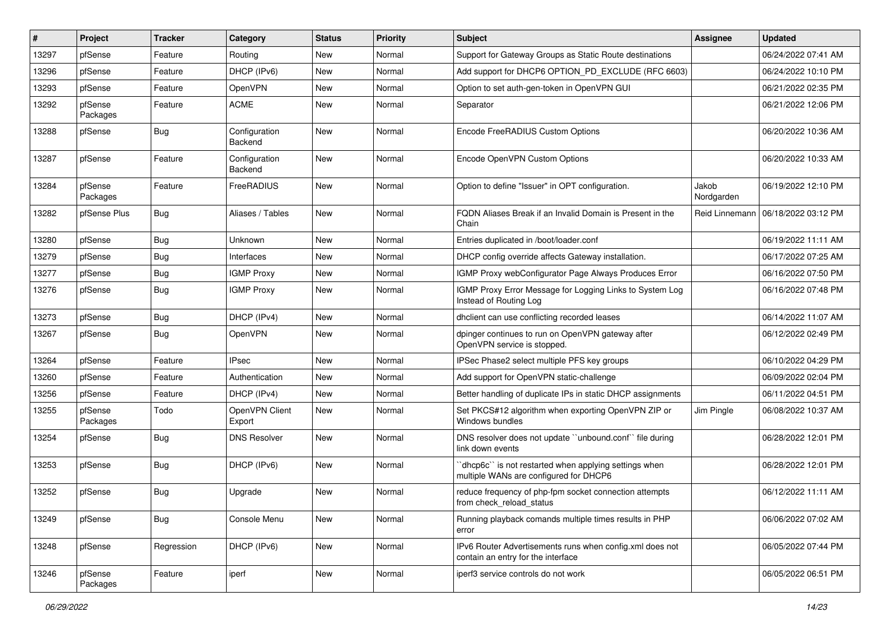| #     | Project             | <b>Tracker</b> | Category                 | <b>Status</b> | <b>Priority</b> | Subject                                                                                          | Assignee            | <b>Updated</b>      |
|-------|---------------------|----------------|--------------------------|---------------|-----------------|--------------------------------------------------------------------------------------------------|---------------------|---------------------|
| 13297 | pfSense             | Feature        | Routing                  | New           | Normal          | Support for Gateway Groups as Static Route destinations                                          |                     | 06/24/2022 07:41 AM |
| 13296 | pfSense             | Feature        | DHCP (IPv6)              | New           | Normal          | Add support for DHCP6 OPTION_PD_EXCLUDE (RFC 6603)                                               |                     | 06/24/2022 10:10 PM |
| 13293 | pfSense             | Feature        | <b>OpenVPN</b>           | New           | Normal          | Option to set auth-gen-token in OpenVPN GUI                                                      |                     | 06/21/2022 02:35 PM |
| 13292 | pfSense<br>Packages | Feature        | <b>ACME</b>              | New           | Normal          | Separator                                                                                        |                     | 06/21/2022 12:06 PM |
| 13288 | pfSense             | Bug            | Configuration<br>Backend | New           | Normal          | Encode FreeRADIUS Custom Options                                                                 |                     | 06/20/2022 10:36 AM |
| 13287 | pfSense             | Feature        | Configuration<br>Backend | <b>New</b>    | Normal          | Encode OpenVPN Custom Options                                                                    |                     | 06/20/2022 10:33 AM |
| 13284 | pfSense<br>Packages | Feature        | FreeRADIUS               | New           | Normal          | Option to define "Issuer" in OPT configuration.                                                  | Jakob<br>Nordgarden | 06/19/2022 12:10 PM |
| 13282 | pfSense Plus        | Bug            | Aliases / Tables         | New           | Normal          | FQDN Aliases Break if an Invalid Domain is Present in the<br>Chain                               | Reid Linnemann      | 06/18/2022 03:12 PM |
| 13280 | pfSense             | <b>Bug</b>     | Unknown                  | New           | Normal          | Entries duplicated in /boot/loader.conf                                                          |                     | 06/19/2022 11:11 AM |
| 13279 | pfSense             | Bug            | Interfaces               | New           | Normal          | DHCP config override affects Gateway installation.                                               |                     | 06/17/2022 07:25 AM |
| 13277 | pfSense             | Bug            | <b>IGMP Proxy</b>        | <b>New</b>    | Normal          | IGMP Proxy webConfigurator Page Always Produces Error                                            |                     | 06/16/2022 07:50 PM |
| 13276 | pfSense             | Bug            | <b>IGMP Proxy</b>        | New           | Normal          | IGMP Proxy Error Message for Logging Links to System Log<br>Instead of Routing Log               |                     | 06/16/2022 07:48 PM |
| 13273 | pfSense             | <b>Bug</b>     | DHCP (IPv4)              | New           | Normal          | dhclient can use conflicting recorded leases                                                     |                     | 06/14/2022 11:07 AM |
| 13267 | pfSense             | Bug            | <b>OpenVPN</b>           | New           | Normal          | dpinger continues to run on OpenVPN gateway after<br>OpenVPN service is stopped.                 |                     | 06/12/2022 02:49 PM |
| 13264 | pfSense             | Feature        | <b>IPsec</b>             | New           | Normal          | IPSec Phase2 select multiple PFS key groups                                                      |                     | 06/10/2022 04:29 PM |
| 13260 | pfSense             | Feature        | Authentication           | New           | Normal          | Add support for OpenVPN static-challenge                                                         |                     | 06/09/2022 02:04 PM |
| 13256 | pfSense             | Feature        | DHCP (IPv4)              | New           | Normal          | Better handling of duplicate IPs in static DHCP assignments                                      |                     | 06/11/2022 04:51 PM |
| 13255 | pfSense<br>Packages | Todo           | OpenVPN Client<br>Export | New           | Normal          | Set PKCS#12 algorithm when exporting OpenVPN ZIP or<br>Windows bundles                           | Jim Pingle          | 06/08/2022 10:37 AM |
| 13254 | pfSense             | Bug            | <b>DNS Resolver</b>      | <b>New</b>    | Normal          | DNS resolver does not update "unbound.conf" file during<br>link down events                      |                     | 06/28/2022 12:01 PM |
| 13253 | pfSense             | <b>Bug</b>     | DHCP (IPv6)              | New           | Normal          | 'dhcp6c'' is not restarted when applying settings when<br>multiple WANs are configured for DHCP6 |                     | 06/28/2022 12:01 PM |
| 13252 | pfSense             | Bug            | Upgrade                  | New           | Normal          | reduce frequency of php-fpm socket connection attempts<br>from check_reload_status               |                     | 06/12/2022 11:11 AM |
| 13249 | pfSense             | Bug            | Console Menu             | New           | Normal          | Running playback comands multiple times results in PHP<br>error                                  |                     | 06/06/2022 07:02 AM |
| 13248 | pfSense             | Regression     | DHCP (IPv6)              | New           | Normal          | IPv6 Router Advertisements runs when config.xml does not<br>contain an entry for the interface   |                     | 06/05/2022 07:44 PM |
| 13246 | pfSense<br>Packages | Feature        | iperf                    | New           | Normal          | iperf3 service controls do not work                                                              |                     | 06/05/2022 06:51 PM |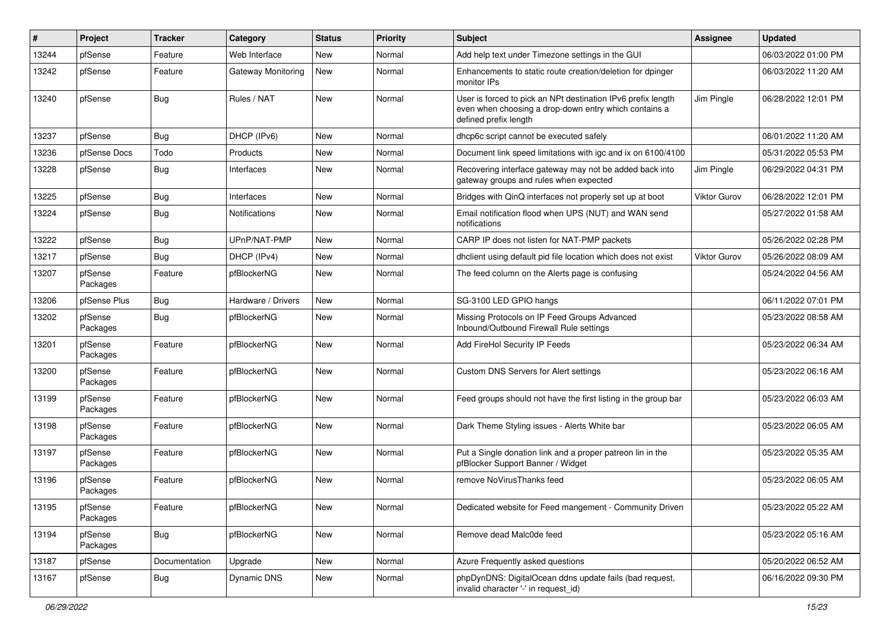| #     | Project             | <b>Tracker</b> | Category           | <b>Status</b> | <b>Priority</b> | <b>Subject</b>                                                                                                                                 | Assignee     | <b>Updated</b>      |
|-------|---------------------|----------------|--------------------|---------------|-----------------|------------------------------------------------------------------------------------------------------------------------------------------------|--------------|---------------------|
| 13244 | pfSense             | Feature        | Web Interface      | New           | Normal          | Add help text under Timezone settings in the GUI                                                                                               |              | 06/03/2022 01:00 PM |
| 13242 | pfSense             | Feature        | Gateway Monitoring | New           | Normal          | Enhancements to static route creation/deletion for dpinger<br>monitor IPs                                                                      |              | 06/03/2022 11:20 AM |
| 13240 | pfSense             | Bug            | Rules / NAT        | New           | Normal          | User is forced to pick an NPt destination IPv6 prefix length<br>even when choosing a drop-down entry which contains a<br>defined prefix length | Jim Pingle   | 06/28/2022 12:01 PM |
| 13237 | pfSense             | Bug            | DHCP (IPv6)        | New           | Normal          | dhcp6c script cannot be executed safely                                                                                                        |              | 06/01/2022 11:20 AM |
| 13236 | pfSense Docs        | Todo           | Products           | New           | Normal          | Document link speed limitations with igc and ix on 6100/4100                                                                                   |              | 05/31/2022 05:53 PM |
| 13228 | pfSense             | <b>Bug</b>     | Interfaces         | New           | Normal          | Recovering interface gateway may not be added back into<br>gateway groups and rules when expected                                              | Jim Pingle   | 06/29/2022 04:31 PM |
| 13225 | pfSense             | <b>Bug</b>     | Interfaces         | New           | Normal          | Bridges with QinQ interfaces not properly set up at boot                                                                                       | Viktor Gurov | 06/28/2022 12:01 PM |
| 13224 | pfSense             | Bug            | Notifications      | New           | Normal          | Email notification flood when UPS (NUT) and WAN send<br>notifications                                                                          |              | 05/27/2022 01:58 AM |
| 13222 | pfSense             | <b>Bug</b>     | UPnP/NAT-PMP       | New           | Normal          | CARP IP does not listen for NAT-PMP packets                                                                                                    |              | 05/26/2022 02:28 PM |
| 13217 | pfSense             | Bug            | DHCP (IPv4)        | New           | Normal          | dhclient using default pid file location which does not exist                                                                                  | Viktor Gurov | 05/26/2022 08:09 AM |
| 13207 | pfSense<br>Packages | Feature        | pfBlockerNG        | New           | Normal          | The feed column on the Alerts page is confusing                                                                                                |              | 05/24/2022 04:56 AM |
| 13206 | pfSense Plus        | Bug            | Hardware / Drivers | New           | Normal          | SG-3100 LED GPIO hangs                                                                                                                         |              | 06/11/2022 07:01 PM |
| 13202 | pfSense<br>Packages | Bug            | pfBlockerNG        | New           | Normal          | Missing Protocols on IP Feed Groups Advanced<br>Inbound/Outbound Firewall Rule settings                                                        |              | 05/23/2022 08:58 AM |
| 13201 | pfSense<br>Packages | Feature        | pfBlockerNG        | New           | Normal          | Add FireHol Security IP Feeds                                                                                                                  |              | 05/23/2022 06:34 AM |
| 13200 | pfSense<br>Packages | Feature        | pfBlockerNG        | New           | Normal          | Custom DNS Servers for Alert settings                                                                                                          |              | 05/23/2022 06:16 AM |
| 13199 | pfSense<br>Packages | Feature        | pfBlockerNG        | New           | Normal          | Feed groups should not have the first listing in the group bar                                                                                 |              | 05/23/2022 06:03 AM |
| 13198 | pfSense<br>Packages | Feature        | pfBlockerNG        | New           | Normal          | Dark Theme Styling issues - Alerts White bar                                                                                                   |              | 05/23/2022 06:05 AM |
| 13197 | pfSense<br>Packages | Feature        | pfBlockerNG        | New           | Normal          | Put a Single donation link and a proper patreon lin in the<br>pfBlocker Support Banner / Widget                                                |              | 05/23/2022 05:35 AM |
| 13196 | pfSense<br>Packages | Feature        | pfBlockerNG        | New           | Normal          | remove NoVirusThanks feed                                                                                                                      |              | 05/23/2022 06:05 AM |
| 13195 | pfSense<br>Packages | Feature        | pfBlockerNG        | New           | Normal          | Dedicated website for Feed mangement - Community Driven                                                                                        |              | 05/23/2022 05:22 AM |
| 13194 | pfSense<br>Packages | <b>Bug</b>     | pfBlockerNG        | New           | Normal          | Remove dead Malc0de feed                                                                                                                       |              | 05/23/2022 05:16 AM |
| 13187 | pfSense             | Documentation  | Upgrade            | New           | Normal          | Azure Frequently asked questions                                                                                                               |              | 05/20/2022 06:52 AM |
| 13167 | pfSense             | <b>Bug</b>     | Dynamic DNS        | New           | Normal          | phpDynDNS: DigitalOcean ddns update fails (bad request,<br>invalid character '-' in request_id)                                                |              | 06/16/2022 09:30 PM |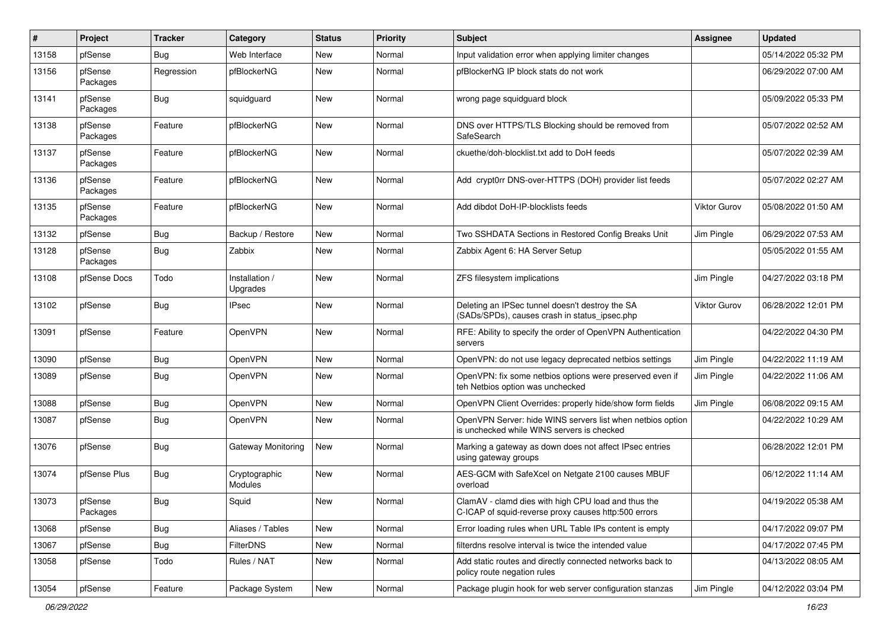| #     | Project             | <b>Tracker</b> | Category                   | <b>Status</b> | <b>Priority</b> | <b>Subject</b>                                                                                              | Assignee            | <b>Updated</b>      |
|-------|---------------------|----------------|----------------------------|---------------|-----------------|-------------------------------------------------------------------------------------------------------------|---------------------|---------------------|
| 13158 | pfSense             | Bug            | Web Interface              | New           | Normal          | Input validation error when applying limiter changes                                                        |                     | 05/14/2022 05:32 PM |
| 13156 | pfSense<br>Packages | Regression     | pfBlockerNG                | New           | Normal          | pfBlockerNG IP block stats do not work                                                                      |                     | 06/29/2022 07:00 AM |
| 13141 | pfSense<br>Packages | Bug            | squidguard                 | New           | Normal          | wrong page squidguard block                                                                                 |                     | 05/09/2022 05:33 PM |
| 13138 | pfSense<br>Packages | Feature        | pfBlockerNG                | New           | Normal          | DNS over HTTPS/TLS Blocking should be removed from<br>SafeSearch                                            |                     | 05/07/2022 02:52 AM |
| 13137 | pfSense<br>Packages | Feature        | pfBlockerNG                | <b>New</b>    | Normal          | ckuethe/doh-blocklist.txt add to DoH feeds                                                                  |                     | 05/07/2022 02:39 AM |
| 13136 | pfSense<br>Packages | Feature        | pfBlockerNG                | New           | Normal          | Add crypt0rr DNS-over-HTTPS (DOH) provider list feeds                                                       |                     | 05/07/2022 02:27 AM |
| 13135 | pfSense<br>Packages | Feature        | pfBlockerNG                | <b>New</b>    | Normal          | Add dibdot DoH-IP-blocklists feeds                                                                          | <b>Viktor Gurov</b> | 05/08/2022 01:50 AM |
| 13132 | pfSense             | Bug            | Backup / Restore           | New           | Normal          | Two SSHDATA Sections in Restored Config Breaks Unit                                                         | Jim Pingle          | 06/29/2022 07:53 AM |
| 13128 | pfSense<br>Packages | Bug            | Zabbix                     | New           | Normal          | Zabbix Agent 6: HA Server Setup                                                                             |                     | 05/05/2022 01:55 AM |
| 13108 | pfSense Docs        | Todo           | Installation /<br>Upgrades | New           | Normal          | ZFS filesystem implications                                                                                 | Jim Pingle          | 04/27/2022 03:18 PM |
| 13102 | pfSense             | Bug            | <b>IPsec</b>               | <b>New</b>    | Normal          | Deleting an IPSec tunnel doesn't destroy the SA<br>(SADs/SPDs), causes crash in status_ipsec.php            | Viktor Gurov        | 06/28/2022 12:01 PM |
| 13091 | pfSense             | Feature        | OpenVPN                    | New           | Normal          | RFE: Ability to specify the order of OpenVPN Authentication<br>servers                                      |                     | 04/22/2022 04:30 PM |
| 13090 | pfSense             | Bug            | OpenVPN                    | New           | Normal          | OpenVPN: do not use legacy deprecated netbios settings                                                      | Jim Pingle          | 04/22/2022 11:19 AM |
| 13089 | pfSense             | Bug            | OpenVPN                    | New           | Normal          | OpenVPN: fix some netbios options were preserved even if<br>teh Netbios option was unchecked                | Jim Pingle          | 04/22/2022 11:06 AM |
| 13088 | pfSense             | Bug            | OpenVPN                    | New           | Normal          | OpenVPN Client Overrides: properly hide/show form fields                                                    | Jim Pingle          | 06/08/2022 09:15 AM |
| 13087 | pfSense             | <b>Bug</b>     | OpenVPN                    | <b>New</b>    | Normal          | OpenVPN Server: hide WINS servers list when netbios option<br>is unchecked while WINS servers is checked    |                     | 04/22/2022 10:29 AM |
| 13076 | pfSense             | Bug            | <b>Gateway Monitoring</b>  | New           | Normal          | Marking a gateway as down does not affect IPsec entries<br>using gateway groups                             |                     | 06/28/2022 12:01 PM |
| 13074 | pfSense Plus        | Bug            | Cryptographic<br>Modules   | New           | Normal          | AES-GCM with SafeXcel on Netgate 2100 causes MBUF<br>overload                                               |                     | 06/12/2022 11:14 AM |
| 13073 | pfSense<br>Packages | Bug            | Squid                      | New           | Normal          | ClamAV - clamd dies with high CPU load and thus the<br>C-ICAP of squid-reverse proxy causes http:500 errors |                     | 04/19/2022 05:38 AM |
| 13068 | pfSense             | Bug            | Aliases / Tables           | New           | Normal          | Error loading rules when URL Table IPs content is empty                                                     |                     | 04/17/2022 09:07 PM |
| 13067 | pfSense             | Bug            | <b>FilterDNS</b>           | New           | Normal          | filterdns resolve interval is twice the intended value                                                      |                     | 04/17/2022 07:45 PM |
| 13058 | pfSense             | Todo           | Rules / NAT                | New           | Normal          | Add static routes and directly connected networks back to<br>policy route negation rules                    |                     | 04/13/2022 08:05 AM |
| 13054 | pfSense             | Feature        | Package System             | New           | Normal          | Package plugin hook for web server configuration stanzas                                                    | Jim Pingle          | 04/12/2022 03:04 PM |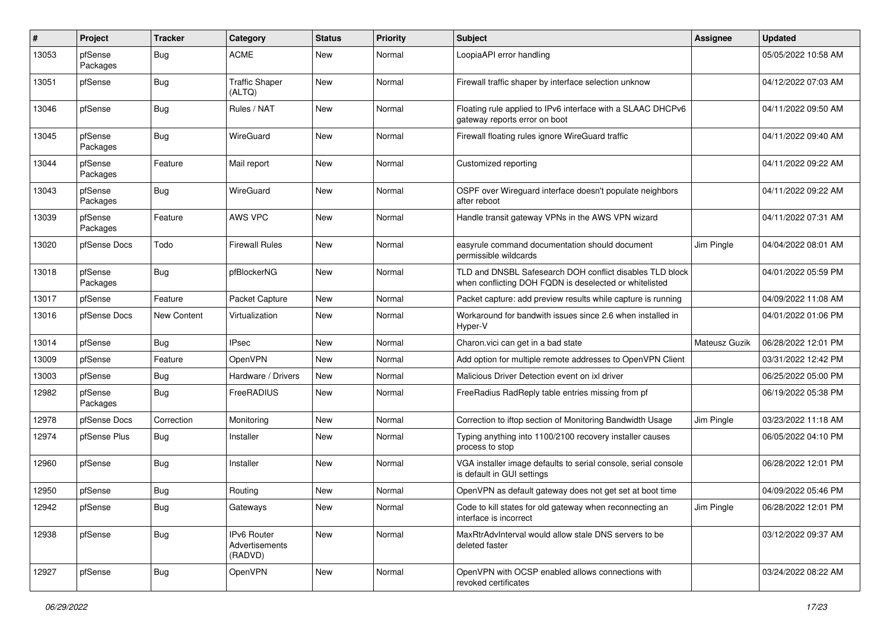| $\#$  | Project             | <b>Tracker</b> | Category                                 | <b>Status</b> | <b>Priority</b> | <b>Subject</b>                                                                                                     | Assignee      | <b>Updated</b>      |
|-------|---------------------|----------------|------------------------------------------|---------------|-----------------|--------------------------------------------------------------------------------------------------------------------|---------------|---------------------|
| 13053 | pfSense<br>Packages | Bug            | <b>ACME</b>                              | New           | Normal          | LoopiaAPI error handling                                                                                           |               | 05/05/2022 10:58 AM |
| 13051 | pfSense             | Bug            | <b>Traffic Shaper</b><br>(ALTQ)          | New           | Normal          | Firewall traffic shaper by interface selection unknow                                                              |               | 04/12/2022 07:03 AM |
| 13046 | pfSense             | Bug            | Rules / NAT                              | New           | Normal          | Floating rule applied to IPv6 interface with a SLAAC DHCPv6<br>gateway reports error on boot                       |               | 04/11/2022 09:50 AM |
| 13045 | pfSense<br>Packages | Bug            | WireGuard                                | New           | Normal          | Firewall floating rules ignore WireGuard traffic                                                                   |               | 04/11/2022 09:40 AM |
| 13044 | pfSense<br>Packages | Feature        | Mail report                              | New           | Normal          | Customized reporting                                                                                               |               | 04/11/2022 09:22 AM |
| 13043 | pfSense<br>Packages | Bug            | WireGuard                                | New           | Normal          | OSPF over Wireguard interface doesn't populate neighbors<br>after reboot                                           |               | 04/11/2022 09:22 AM |
| 13039 | pfSense<br>Packages | Feature        | AWS VPC                                  | New           | Normal          | Handle transit gateway VPNs in the AWS VPN wizard                                                                  |               | 04/11/2022 07:31 AM |
| 13020 | pfSense Docs        | Todo           | <b>Firewall Rules</b>                    | New           | Normal          | easyrule command documentation should document<br>permissible wildcards                                            | Jim Pingle    | 04/04/2022 08:01 AM |
| 13018 | pfSense<br>Packages | Bug            | pfBlockerNG                              | New           | Normal          | TLD and DNSBL Safesearch DOH conflict disables TLD block<br>when conflicting DOH FQDN is deselected or whitelisted |               | 04/01/2022 05:59 PM |
| 13017 | pfSense             | Feature        | Packet Capture                           | <b>New</b>    | Normal          | Packet capture: add preview results while capture is running                                                       |               | 04/09/2022 11:08 AM |
| 13016 | pfSense Docs        | New Content    | Virtualization                           | New           | Normal          | Workaround for bandwith issues since 2.6 when installed in<br>Hyper-V                                              |               | 04/01/2022 01:06 PM |
| 13014 | pfSense             | Bug            | <b>IPsec</b>                             | New           | Normal          | Charon.vici can get in a bad state                                                                                 | Mateusz Guzik | 06/28/2022 12:01 PM |
| 13009 | pfSense             | Feature        | OpenVPN                                  | New           | Normal          | Add option for multiple remote addresses to OpenVPN Client                                                         |               | 03/31/2022 12:42 PM |
| 13003 | pfSense             | Bug            | Hardware / Drivers                       | New           | Normal          | Malicious Driver Detection event on ixl driver                                                                     |               | 06/25/2022 05:00 PM |
| 12982 | pfSense<br>Packages | Bug            | FreeRADIUS                               | New           | Normal          | FreeRadius RadReply table entries missing from pf                                                                  |               | 06/19/2022 05:38 PM |
| 12978 | pfSense Docs        | Correction     | Monitoring                               | New           | Normal          | Correction to iftop section of Monitoring Bandwidth Usage                                                          | Jim Pingle    | 03/23/2022 11:18 AM |
| 12974 | pfSense Plus        | <b>Bug</b>     | Installer                                | New           | Normal          | Typing anything into 1100/2100 recovery installer causes<br>process to stop                                        |               | 06/05/2022 04:10 PM |
| 12960 | pfSense             | Bug            | Installer                                | New           | Normal          | VGA installer image defaults to serial console, serial console<br>is default in GUI settings                       |               | 06/28/2022 12:01 PM |
| 12950 | pfSense             | Bug            | Routing                                  | New           | Normal          | OpenVPN as default gateway does not get set at boot time                                                           |               | 04/09/2022 05:46 PM |
| 12942 | pfSense             | Bug            | Gateways                                 | New           | Normal          | Code to kill states for old gateway when reconnecting an<br>interface is incorrect                                 | Jim Pingle    | 06/28/2022 12:01 PM |
| 12938 | pfSense             | <b>Bug</b>     | IPv6 Router<br>Advertisements<br>(RADVD) | New           | Normal          | MaxRtrAdvInterval would allow stale DNS servers to be<br>deleted faster                                            |               | 03/12/2022 09:37 AM |
| 12927 | pfSense             | <b>Bug</b>     | <b>OpenVPN</b>                           | New           | Normal          | OpenVPN with OCSP enabled allows connections with<br>revoked certificates                                          |               | 03/24/2022 08:22 AM |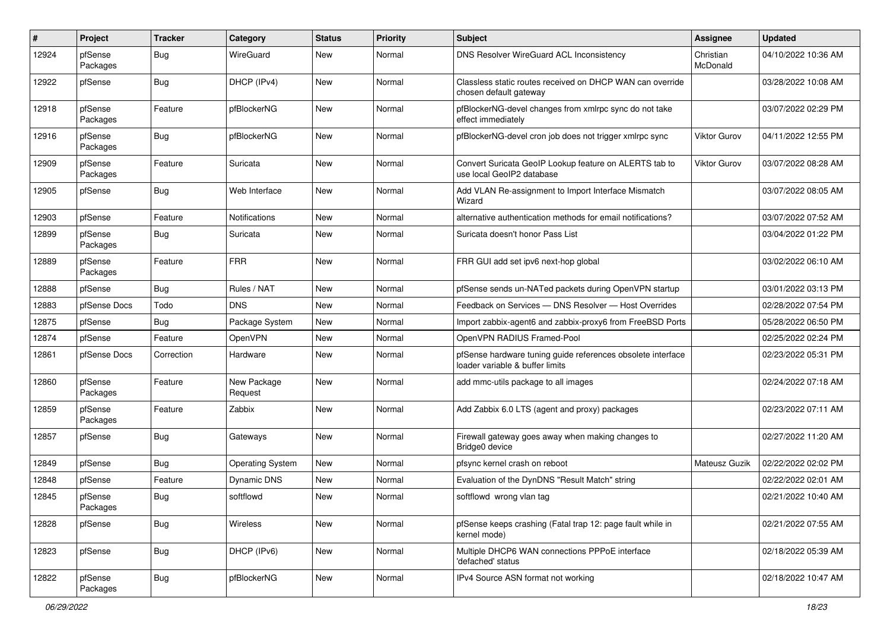| $\#$  | Project             | <b>Tracker</b> | Category               | <b>Status</b> | <b>Priority</b> | Subject                                                                                        | Assignee              | <b>Updated</b>      |
|-------|---------------------|----------------|------------------------|---------------|-----------------|------------------------------------------------------------------------------------------------|-----------------------|---------------------|
| 12924 | pfSense<br>Packages | <b>Bug</b>     | WireGuard              | New           | Normal          | DNS Resolver WireGuard ACL Inconsistency                                                       | Christian<br>McDonald | 04/10/2022 10:36 AM |
| 12922 | pfSense             | Bug            | DHCP (IPv4)            | New           | Normal          | Classless static routes received on DHCP WAN can override<br>chosen default gateway            |                       | 03/28/2022 10:08 AM |
| 12918 | pfSense<br>Packages | Feature        | pfBlockerNG            | New           | Normal          | pfBlockerNG-devel changes from xmlrpc sync do not take<br>effect immediately                   |                       | 03/07/2022 02:29 PM |
| 12916 | pfSense<br>Packages | Bug            | pfBlockerNG            | New           | Normal          | pfBlockerNG-devel cron job does not trigger xmlrpc sync                                        | Viktor Gurov          | 04/11/2022 12:55 PM |
| 12909 | pfSense<br>Packages | Feature        | Suricata               | New           | Normal          | Convert Suricata GeoIP Lookup feature on ALERTS tab to<br>use local GeoIP2 database            | <b>Viktor Gurov</b>   | 03/07/2022 08:28 AM |
| 12905 | pfSense             | Bug            | Web Interface          | New           | Normal          | Add VLAN Re-assignment to Import Interface Mismatch<br>Wizard                                  |                       | 03/07/2022 08:05 AM |
| 12903 | pfSense             | Feature        | Notifications          | New           | Normal          | alternative authentication methods for email notifications?                                    |                       | 03/07/2022 07:52 AM |
| 12899 | pfSense<br>Packages | <b>Bug</b>     | Suricata               | New           | Normal          | Suricata doesn't honor Pass List                                                               |                       | 03/04/2022 01:22 PM |
| 12889 | pfSense<br>Packages | Feature        | <b>FRR</b>             | New           | Normal          | FRR GUI add set ipv6 next-hop global                                                           |                       | 03/02/2022 06:10 AM |
| 12888 | pfSense             | Bug            | Rules / NAT            | New           | Normal          | pfSense sends un-NATed packets during OpenVPN startup                                          |                       | 03/01/2022 03:13 PM |
| 12883 | pfSense Docs        | Todo           | <b>DNS</b>             | New           | Normal          | Feedback on Services - DNS Resolver - Host Overrides                                           |                       | 02/28/2022 07:54 PM |
| 12875 | pfSense             | Bug            | Package System         | New           | Normal          | Import zabbix-agent6 and zabbix-proxy6 from FreeBSD Ports                                      |                       | 05/28/2022 06:50 PM |
| 12874 | pfSense             | Feature        | OpenVPN                | <b>New</b>    | Normal          | OpenVPN RADIUS Framed-Pool                                                                     |                       | 02/25/2022 02:24 PM |
| 12861 | pfSense Docs        | Correction     | Hardware               | New           | Normal          | pfSense hardware tuning guide references obsolete interface<br>loader variable & buffer limits |                       | 02/23/2022 05:31 PM |
| 12860 | pfSense<br>Packages | Feature        | New Package<br>Request | New           | Normal          | add mmc-utils package to all images                                                            |                       | 02/24/2022 07:18 AM |
| 12859 | pfSense<br>Packages | Feature        | Zabbix                 | New           | Normal          | Add Zabbix 6.0 LTS (agent and proxy) packages                                                  |                       | 02/23/2022 07:11 AM |
| 12857 | pfSense             | Bug            | Gateways               | New           | Normal          | Firewall gateway goes away when making changes to<br>Bridge0 device                            |                       | 02/27/2022 11:20 AM |
| 12849 | pfSense             | Bug            | Operating System       | New           | Normal          | pfsync kernel crash on reboot                                                                  | Mateusz Guzik         | 02/22/2022 02:02 PM |
| 12848 | pfSense             | Feature        | Dynamic DNS            | New           | Normal          | Evaluation of the DynDNS "Result Match" string                                                 |                       | 02/22/2022 02:01 AM |
| 12845 | pfSense<br>Packages | Bug            | softflowd              | New           | Normal          | softflowd wrong vlan tag                                                                       |                       | 02/21/2022 10:40 AM |
| 12828 | pfSense             | <b>Bug</b>     | <b>Wireless</b>        | New           | Normal          | pfSense keeps crashing (Fatal trap 12: page fault while in<br>kernel mode)                     |                       | 02/21/2022 07:55 AM |
| 12823 | pfSense             | <b>Bug</b>     | DHCP (IPv6)            | New           | Normal          | Multiple DHCP6 WAN connections PPPoE interface<br>'defached' status                            |                       | 02/18/2022 05:39 AM |
| 12822 | pfSense<br>Packages | <b>Bug</b>     | pfBlockerNG            | New           | Normal          | IPv4 Source ASN format not working                                                             |                       | 02/18/2022 10:47 AM |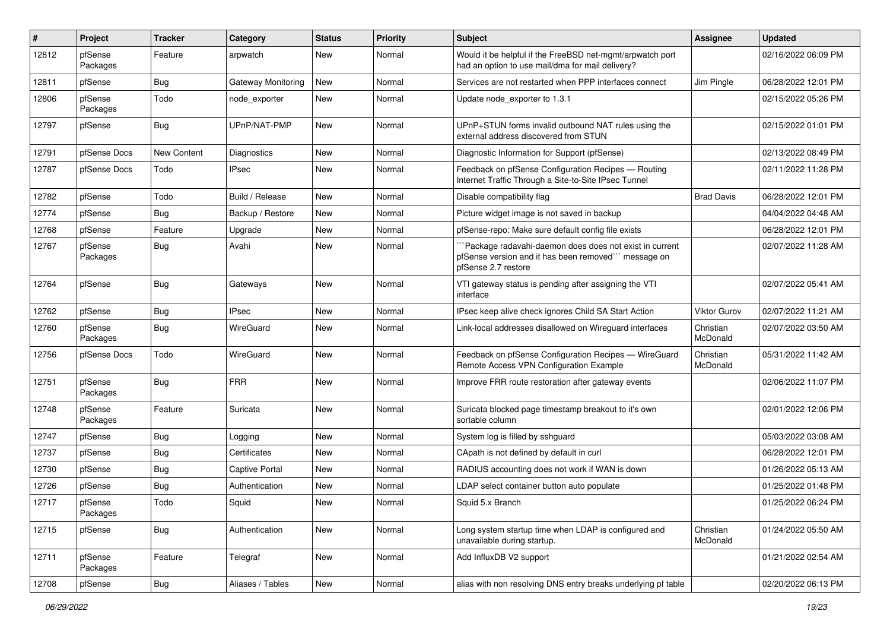| #     | Project             | <b>Tracker</b> | Category              | <b>Status</b> | <b>Priority</b> | Subject                                                                                                                               | Assignee              | <b>Updated</b>      |
|-------|---------------------|----------------|-----------------------|---------------|-----------------|---------------------------------------------------------------------------------------------------------------------------------------|-----------------------|---------------------|
| 12812 | pfSense<br>Packages | Feature        | arpwatch              | New           | Normal          | Would it be helpful if the FreeBSD net-mgmt/arpwatch port<br>had an option to use mail/dma for mail delivery?                         |                       | 02/16/2022 06:09 PM |
| 12811 | pfSense             | Bug            | Gateway Monitoring    | New           | Normal          | Services are not restarted when PPP interfaces connect                                                                                | Jim Pingle            | 06/28/2022 12:01 PM |
| 12806 | pfSense<br>Packages | Todo           | node exporter         | New           | Normal          | Update node exporter to 1.3.1                                                                                                         |                       | 02/15/2022 05:26 PM |
| 12797 | pfSense             | Bug            | UPnP/NAT-PMP          | New           | Normal          | UPnP+STUN forms invalid outbound NAT rules using the<br>external address discovered from STUN                                         |                       | 02/15/2022 01:01 PM |
| 12791 | pfSense Docs        | New Content    | Diagnostics           | New           | Normal          | Diagnostic Information for Support (pfSense)                                                                                          |                       | 02/13/2022 08:49 PM |
| 12787 | pfSense Docs        | Todo           | <b>IPsec</b>          | New           | Normal          | Feedback on pfSense Configuration Recipes - Routing<br>Internet Traffic Through a Site-to-Site IPsec Tunnel                           |                       | 02/11/2022 11:28 PM |
| 12782 | pfSense             | Todo           | Build / Release       | New           | Normal          | Disable compatibility flag                                                                                                            | <b>Brad Davis</b>     | 06/28/2022 12:01 PM |
| 12774 | pfSense             | <b>Bug</b>     | Backup / Restore      | New           | Normal          | Picture widget image is not saved in backup                                                                                           |                       | 04/04/2022 04:48 AM |
| 12768 | pfSense             | Feature        | Upgrade               | New           | Normal          | pfSense-repo: Make sure default config file exists                                                                                    |                       | 06/28/2022 12:01 PM |
| 12767 | pfSense<br>Packages | Bug            | Avahi                 | New           | Normal          | Package radavahi-daemon does does not exist in current<br>pfSense version and it has been removed"" message on<br>pfSense 2.7 restore |                       | 02/07/2022 11:28 AM |
| 12764 | pfSense             | Bug            | Gateways              | New           | Normal          | VTI gateway status is pending after assigning the VTI<br>interface                                                                    |                       | 02/07/2022 05:41 AM |
| 12762 | pfSense             | Bug            | <b>IPsec</b>          | New           | Normal          | IPsec keep alive check ignores Child SA Start Action                                                                                  | Viktor Gurov          | 02/07/2022 11:21 AM |
| 12760 | pfSense<br>Packages | Bug            | WireGuard             | New           | Normal          | Link-local addresses disallowed on Wirequard interfaces                                                                               | Christian<br>McDonald | 02/07/2022 03:50 AM |
| 12756 | pfSense Docs        | Todo           | WireGuard             | New           | Normal          | Feedback on pfSense Configuration Recipes - WireGuard<br>Remote Access VPN Configuration Example                                      | Christian<br>McDonald | 05/31/2022 11:42 AM |
| 12751 | pfSense<br>Packages | <b>Bug</b>     | <b>FRR</b>            | New           | Normal          | Improve FRR route restoration after gateway events                                                                                    |                       | 02/06/2022 11:07 PM |
| 12748 | pfSense<br>Packages | Feature        | Suricata              | New           | Normal          | Suricata blocked page timestamp breakout to it's own<br>sortable column                                                               |                       | 02/01/2022 12:06 PM |
| 12747 | pfSense             | <b>Bug</b>     | Logging               | New           | Normal          | System log is filled by sshguard                                                                                                      |                       | 05/03/2022 03:08 AM |
| 12737 | pfSense             | Bug            | Certificates          | New           | Normal          | CApath is not defined by default in curl                                                                                              |                       | 06/28/2022 12:01 PM |
| 12730 | pfSense             | Bug            | <b>Captive Portal</b> | New           | Normal          | RADIUS accounting does not work if WAN is down                                                                                        |                       | 01/26/2022 05:13 AM |
| 12726 | pfSense             | Bug            | Authentication        | New           | Normal          | LDAP select container button auto populate                                                                                            |                       | 01/25/2022 01:48 PM |
| 12717 | pfSense<br>Packages | Todo           | Squid                 | New           | Normal          | Squid 5.x Branch                                                                                                                      |                       | 01/25/2022 06:24 PM |
| 12715 | pfSense             | <b>Bug</b>     | Authentication        | New           | Normal          | Long system startup time when LDAP is configured and<br>unavailable during startup.                                                   | Christian<br>McDonald | 01/24/2022 05:50 AM |
| 12711 | pfSense<br>Packages | Feature        | Telegraf              | New           | Normal          | Add InfluxDB V2 support                                                                                                               |                       | 01/21/2022 02:54 AM |
| 12708 | pfSense             | <b>Bug</b>     | Aliases / Tables      | New           | Normal          | alias with non resolving DNS entry breaks underlying pf table                                                                         |                       | 02/20/2022 06:13 PM |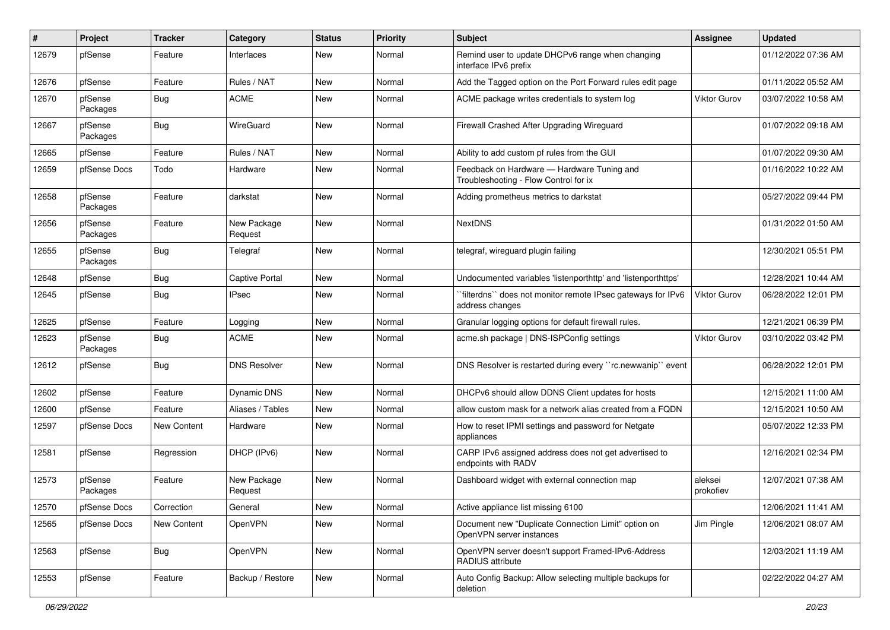| #     | Project             | <b>Tracker</b> | Category               | <b>Status</b> | <b>Priority</b> | Subject                                                                             | Assignee             | <b>Updated</b>      |
|-------|---------------------|----------------|------------------------|---------------|-----------------|-------------------------------------------------------------------------------------|----------------------|---------------------|
| 12679 | pfSense             | Feature        | Interfaces             | New           | Normal          | Remind user to update DHCPv6 range when changing<br>interface IPv6 prefix           |                      | 01/12/2022 07:36 AM |
| 12676 | pfSense             | Feature        | Rules / NAT            | New           | Normal          | Add the Tagged option on the Port Forward rules edit page                           |                      | 01/11/2022 05:52 AM |
| 12670 | pfSense<br>Packages | Bug            | <b>ACME</b>            | New           | Normal          | ACME package writes credentials to system log                                       | <b>Viktor Gurov</b>  | 03/07/2022 10:58 AM |
| 12667 | pfSense<br>Packages | <b>Bug</b>     | WireGuard              | New           | Normal          | Firewall Crashed After Upgrading Wireguard                                          |                      | 01/07/2022 09:18 AM |
| 12665 | pfSense             | Feature        | Rules / NAT            | New           | Normal          | Ability to add custom pf rules from the GUI                                         |                      | 01/07/2022 09:30 AM |
| 12659 | pfSense Docs        | Todo           | Hardware               | New           | Normal          | Feedback on Hardware - Hardware Tuning and<br>Troubleshooting - Flow Control for ix |                      | 01/16/2022 10:22 AM |
| 12658 | pfSense<br>Packages | Feature        | darkstat               | New           | Normal          | Adding prometheus metrics to darkstat                                               |                      | 05/27/2022 09:44 PM |
| 12656 | pfSense<br>Packages | Feature        | New Package<br>Request | New           | Normal          | <b>NextDNS</b>                                                                      |                      | 01/31/2022 01:50 AM |
| 12655 | pfSense<br>Packages | Bug            | Telegraf               | New           | Normal          | telegraf, wireguard plugin failing                                                  |                      | 12/30/2021 05:51 PM |
| 12648 | pfSense             | Bug            | <b>Captive Portal</b>  | New           | Normal          | Undocumented variables 'listenporthttp' and 'listenporthttps'                       |                      | 12/28/2021 10:44 AM |
| 12645 | pfSense             | Bug            | IPsec                  | New           | Normal          | `filterdns`` does not monitor remote IPsec gateways for IPv6<br>address changes     | Viktor Gurov         | 06/28/2022 12:01 PM |
| 12625 | pfSense             | Feature        | Logging                | New           | Normal          | Granular logging options for default firewall rules.                                |                      | 12/21/2021 06:39 PM |
| 12623 | pfSense<br>Packages | Bug            | <b>ACME</b>            | New           | Normal          | acme.sh package   DNS-ISPConfig settings                                            | <b>Viktor Gurov</b>  | 03/10/2022 03:42 PM |
| 12612 | pfSense             | Bug            | <b>DNS Resolver</b>    | New           | Normal          | DNS Resolver is restarted during every "rc.newwanip" event                          |                      | 06/28/2022 12:01 PM |
| 12602 | pfSense             | Feature        | <b>Dynamic DNS</b>     | New           | Normal          | DHCPv6 should allow DDNS Client updates for hosts                                   |                      | 12/15/2021 11:00 AM |
| 12600 | pfSense             | Feature        | Aliases / Tables       | New           | Normal          | allow custom mask for a network alias created from a FQDN                           |                      | 12/15/2021 10:50 AM |
| 12597 | pfSense Docs        | New Content    | Hardware               | New           | Normal          | How to reset IPMI settings and password for Netgate<br>appliances                   |                      | 05/07/2022 12:33 PM |
| 12581 | pfSense             | Regression     | DHCP (IPv6)            | New           | Normal          | CARP IPv6 assigned address does not get advertised to<br>endpoints with RADV        |                      | 12/16/2021 02:34 PM |
| 12573 | pfSense<br>Packages | Feature        | New Package<br>Request | New           | Normal          | Dashboard widget with external connection map                                       | aleksei<br>prokofiev | 12/07/2021 07:38 AM |
| 12570 | pfSense Docs        | Correction     | General                | New           | Normal          | Active appliance list missing 6100                                                  |                      | 12/06/2021 11:41 AM |
| 12565 | pfSense Docs        | New Content    | OpenVPN                | New           | Normal          | Document new "Duplicate Connection Limit" option on<br>OpenVPN server instances     | Jim Pingle           | 12/06/2021 08:07 AM |
| 12563 | pfSense             | Bug            | OpenVPN                | New           | Normal          | OpenVPN server doesn't support Framed-IPv6-Address<br>RADIUS attribute              |                      | 12/03/2021 11:19 AM |
| 12553 | pfSense             | Feature        | Backup / Restore       | New           | Normal          | Auto Config Backup: Allow selecting multiple backups for<br>deletion                |                      | 02/22/2022 04:27 AM |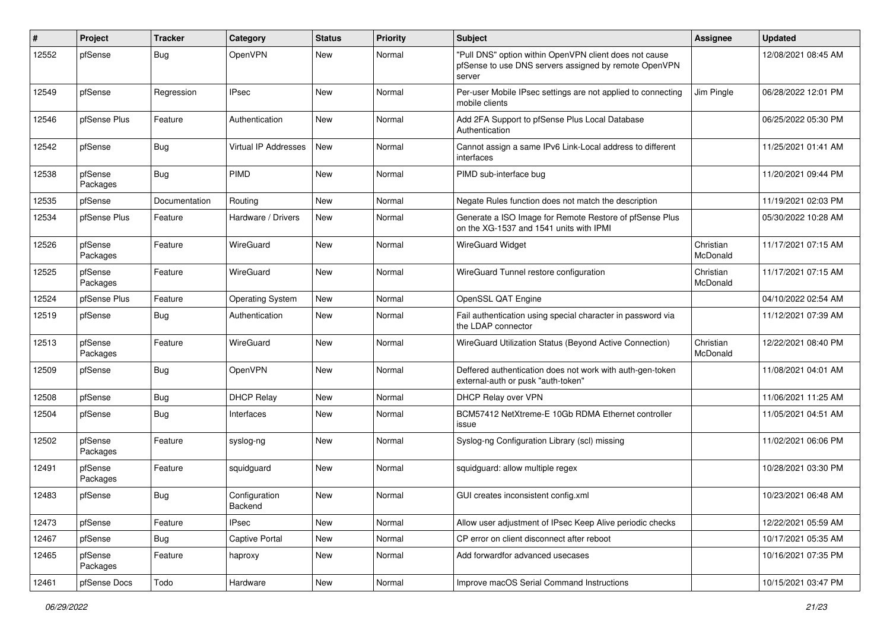| #     | Project             | <b>Tracker</b> | Category                 | <b>Status</b> | <b>Priority</b> | <b>Subject</b>                                                                                                            | Assignee              | <b>Updated</b>      |
|-------|---------------------|----------------|--------------------------|---------------|-----------------|---------------------------------------------------------------------------------------------------------------------------|-----------------------|---------------------|
| 12552 | pfSense             | Bug            | OpenVPN                  | New           | Normal          | 'Pull DNS" option within OpenVPN client does not cause<br>pfSense to use DNS servers assigned by remote OpenVPN<br>server |                       | 12/08/2021 08:45 AM |
| 12549 | pfSense             | Regression     | <b>IPsec</b>             | New           | Normal          | Per-user Mobile IPsec settings are not applied to connecting<br>mobile clients                                            | Jim Pingle            | 06/28/2022 12:01 PM |
| 12546 | pfSense Plus        | Feature        | Authentication           | New           | Normal          | Add 2FA Support to pfSense Plus Local Database<br>Authentication                                                          |                       | 06/25/2022 05:30 PM |
| 12542 | pfSense             | <b>Bug</b>     | Virtual IP Addresses     | <b>New</b>    | Normal          | Cannot assign a same IPv6 Link-Local address to different<br>interfaces                                                   |                       | 11/25/2021 01:41 AM |
| 12538 | pfSense<br>Packages | <b>Bug</b>     | <b>PIMD</b>              | New           | Normal          | PIMD sub-interface bug                                                                                                    |                       | 11/20/2021 09:44 PM |
| 12535 | pfSense             | Documentation  | Routing                  | New           | Normal          | Negate Rules function does not match the description                                                                      |                       | 11/19/2021 02:03 PM |
| 12534 | pfSense Plus        | Feature        | Hardware / Drivers       | New           | Normal          | Generate a ISO Image for Remote Restore of pfSense Plus<br>on the XG-1537 and 1541 units with IPMI                        |                       | 05/30/2022 10:28 AM |
| 12526 | pfSense<br>Packages | Feature        | WireGuard                | New           | Normal          | <b>WireGuard Widget</b>                                                                                                   | Christian<br>McDonald | 11/17/2021 07:15 AM |
| 12525 | pfSense<br>Packages | Feature        | WireGuard                | New           | Normal          | WireGuard Tunnel restore configuration                                                                                    | Christian<br>McDonald | 11/17/2021 07:15 AM |
| 12524 | pfSense Plus        | Feature        | Operating System         | <b>New</b>    | Normal          | OpenSSL QAT Engine                                                                                                        |                       | 04/10/2022 02:54 AM |
| 12519 | pfSense             | Bug            | Authentication           | New           | Normal          | Fail authentication using special character in password via<br>the LDAP connector                                         |                       | 11/12/2021 07:39 AM |
| 12513 | pfSense<br>Packages | Feature        | WireGuard                | New           | Normal          | WireGuard Utilization Status (Beyond Active Connection)                                                                   | Christian<br>McDonald | 12/22/2021 08:40 PM |
| 12509 | pfSense             | <b>Bug</b>     | OpenVPN                  | New           | Normal          | Deffered authentication does not work with auth-gen-token<br>external-auth or pusk "auth-token"                           |                       | 11/08/2021 04:01 AM |
| 12508 | pfSense             | <b>Bug</b>     | <b>DHCP Relay</b>        | New           | Normal          | DHCP Relay over VPN                                                                                                       |                       | 11/06/2021 11:25 AM |
| 12504 | pfSense             | <b>Bug</b>     | Interfaces               | New           | Normal          | BCM57412 NetXtreme-E 10Gb RDMA Ethernet controller<br>issue                                                               |                       | 11/05/2021 04:51 AM |
| 12502 | pfSense<br>Packages | Feature        | syslog-ng                | New           | Normal          | Syslog-ng Configuration Library (scl) missing                                                                             |                       | 11/02/2021 06:06 PM |
| 12491 | pfSense<br>Packages | Feature        | squidguard               | New           | Normal          | squidquard: allow multiple regex                                                                                          |                       | 10/28/2021 03:30 PM |
| 12483 | pfSense             | Bug            | Configuration<br>Backend | New           | Normal          | GUI creates inconsistent config.xml                                                                                       |                       | 10/23/2021 06:48 AM |
| 12473 | pfSense             | Feature        | <b>IPsec</b>             | New           | Normal          | Allow user adjustment of IPsec Keep Alive periodic checks                                                                 |                       | 12/22/2021 05:59 AM |
| 12467 | pfSense             | Bug            | Captive Portal           | New           | Normal          | CP error on client disconnect after reboot                                                                                |                       | 10/17/2021 05:35 AM |
| 12465 | pfSense<br>Packages | Feature        | haproxy                  | New           | Normal          | Add forwardfor advanced usecases                                                                                          |                       | 10/16/2021 07:35 PM |
| 12461 | pfSense Docs        | Todo           | Hardware                 | New           | Normal          | Improve macOS Serial Command Instructions                                                                                 |                       | 10/15/2021 03:47 PM |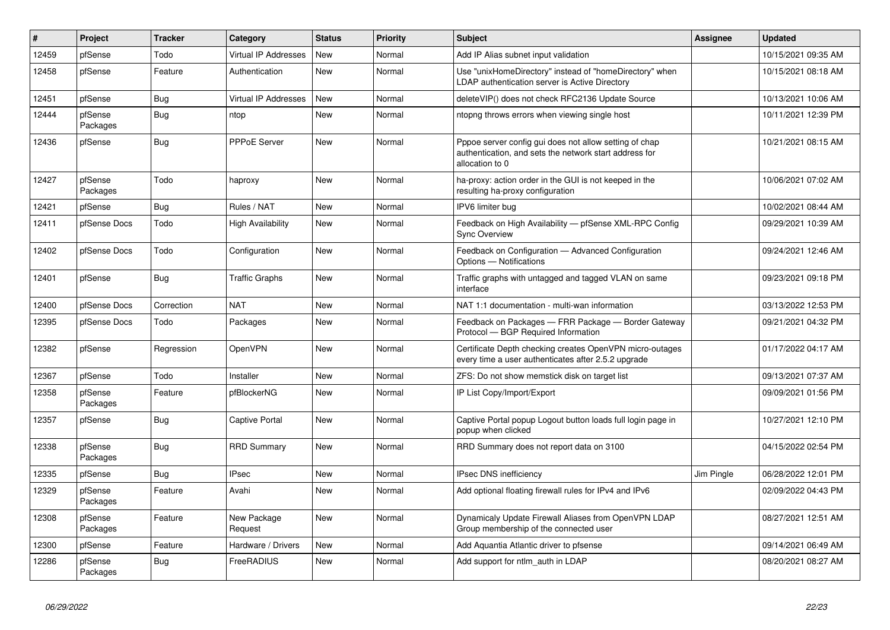| $\vert$ # | Project             | <b>Tracker</b> | Category                    | <b>Status</b> | Priority | <b>Subject</b>                                                                                                                      | Assignee   | <b>Updated</b>      |
|-----------|---------------------|----------------|-----------------------------|---------------|----------|-------------------------------------------------------------------------------------------------------------------------------------|------------|---------------------|
| 12459     | pfSense             | Todo           | Virtual IP Addresses        | <b>New</b>    | Normal   | Add IP Alias subnet input validation                                                                                                |            | 10/15/2021 09:35 AM |
| 12458     | pfSense             | Feature        | Authentication              | <b>New</b>    | Normal   | Use "unixHomeDirectory" instead of "homeDirectory" when<br>LDAP authentication server is Active Directory                           |            | 10/15/2021 08:18 AM |
| 12451     | pfSense             | <b>Bug</b>     | <b>Virtual IP Addresses</b> | <b>New</b>    | Normal   | deleteVIP() does not check RFC2136 Update Source                                                                                    |            | 10/13/2021 10:06 AM |
| 12444     | pfSense<br>Packages | Bug            | ntop                        | New           | Normal   | ntopng throws errors when viewing single host                                                                                       |            | 10/11/2021 12:39 PM |
| 12436     | pfSense             | <b>Bug</b>     | <b>PPPoE Server</b>         | <b>New</b>    | Normal   | Pppoe server config gui does not allow setting of chap<br>authentication, and sets the network start address for<br>allocation to 0 |            | 10/21/2021 08:15 AM |
| 12427     | pfSense<br>Packages | Todo           | haproxy                     | <b>New</b>    | Normal   | ha-proxy: action order in the GUI is not keeped in the<br>resulting ha-proxy configuration                                          |            | 10/06/2021 07:02 AM |
| 12421     | pfSense             | Bug            | Rules / NAT                 | New           | Normal   | IPV6 limiter bug                                                                                                                    |            | 10/02/2021 08:44 AM |
| 12411     | pfSense Docs        | Todo           | High Availability           | New           | Normal   | Feedback on High Availability - pfSense XML-RPC Config<br><b>Sync Overview</b>                                                      |            | 09/29/2021 10:39 AM |
| 12402     | pfSense Docs        | Todo           | Configuration               | <b>New</b>    | Normal   | Feedback on Configuration - Advanced Configuration<br>Options - Notifications                                                       |            | 09/24/2021 12:46 AM |
| 12401     | pfSense             | Bug            | <b>Traffic Graphs</b>       | <b>New</b>    | Normal   | Traffic graphs with untagged and tagged VLAN on same<br>interface                                                                   |            | 09/23/2021 09:18 PM |
| 12400     | pfSense Docs        | Correction     | <b>NAT</b>                  | <b>New</b>    | Normal   | NAT 1:1 documentation - multi-wan information                                                                                       |            | 03/13/2022 12:53 PM |
| 12395     | pfSense Docs        | Todo           | Packages                    | <b>New</b>    | Normal   | Feedback on Packages - FRR Package - Border Gateway<br>Protocol - BGP Required Information                                          |            | 09/21/2021 04:32 PM |
| 12382     | pfSense             | Regression     | OpenVPN                     | <b>New</b>    | Normal   | Certificate Depth checking creates OpenVPN micro-outages<br>every time a user authenticates after 2.5.2 upgrade                     |            | 01/17/2022 04:17 AM |
| 12367     | pfSense             | Todo           | Installer                   | New           | Normal   | ZFS: Do not show memstick disk on target list                                                                                       |            | 09/13/2021 07:37 AM |
| 12358     | pfSense<br>Packages | Feature        | pfBlockerNG                 | New           | Normal   | IP List Copy/Import/Export                                                                                                          |            | 09/09/2021 01:56 PM |
| 12357     | pfSense             | Bug            | Captive Portal              | <b>New</b>    | Normal   | Captive Portal popup Logout button loads full login page in<br>popup when clicked                                                   |            | 10/27/2021 12:10 PM |
| 12338     | pfSense<br>Packages | Bug            | <b>RRD Summary</b>          | New           | Normal   | RRD Summary does not report data on 3100                                                                                            |            | 04/15/2022 02:54 PM |
| 12335     | pfSense             | Bug            | <b>IPsec</b>                | New           | Normal   | <b>IPsec DNS inefficiency</b>                                                                                                       | Jim Pingle | 06/28/2022 12:01 PM |
| 12329     | pfSense<br>Packages | Feature        | Avahi                       | New           | Normal   | Add optional floating firewall rules for IPv4 and IPv6                                                                              |            | 02/09/2022 04:43 PM |
| 12308     | pfSense<br>Packages | Feature        | New Package<br>Request      | New           | Normal   | Dynamicaly Update Firewall Aliases from OpenVPN LDAP<br>Group membership of the connected user                                      |            | 08/27/2021 12:51 AM |
| 12300     | pfSense             | Feature        | Hardware / Drivers          | New           | Normal   | Add Aquantia Atlantic driver to pfsense                                                                                             |            | 09/14/2021 06:49 AM |
| 12286     | pfSense<br>Packages | Bug            | FreeRADIUS                  | <b>New</b>    | Normal   | Add support for ntlm_auth in LDAP                                                                                                   |            | 08/20/2021 08:27 AM |